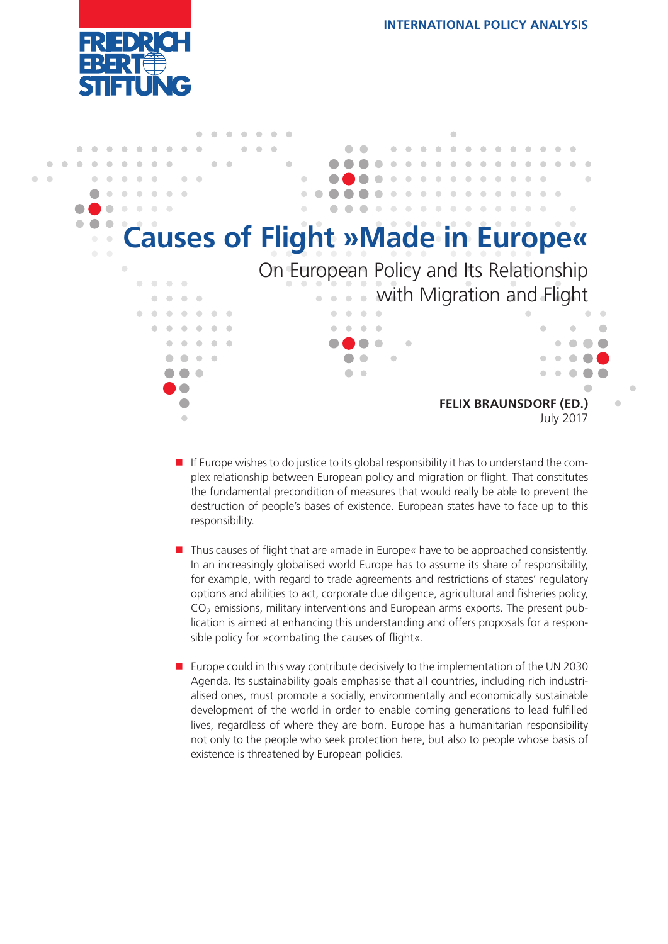



- $\blacksquare$  If Europe wishes to do justice to its global responsibility it has to understand the complex relationship between European policy and migration or flight. That constitutes the fundamental precondition of measures that would really be able to prevent the destruction of people's bases of existence. European states have to face up to this responsibility.
- Thus causes of flight that are »made in Europe« have to be approached consistently. In an increasingly globalised world Europe has to assume its share of responsibility, for example, with regard to trade agreements and restrictions of states' regulatory options and abilities to act, corporate due diligence, agricultural and fisheries policy, CO2 emissions, military interventions and European arms exports. The present publication is aimed at enhancing this understanding and offers proposals for a responsible policy for »combating the causes of flight«.
- Europe could in this way contribute decisively to the implementation of the UN 2030 Agenda. Its sustainability goals emphasise that all countries, including rich industrialised ones, must promote a socially, environmentally and economically sustainable development of the world in order to enable coming generations to lead fulfilled lives, regardless of where they are born. Europe has a humanitarian responsibility not only to the people who seek protection here, but also to people whose basis of existence is threatened by European policies.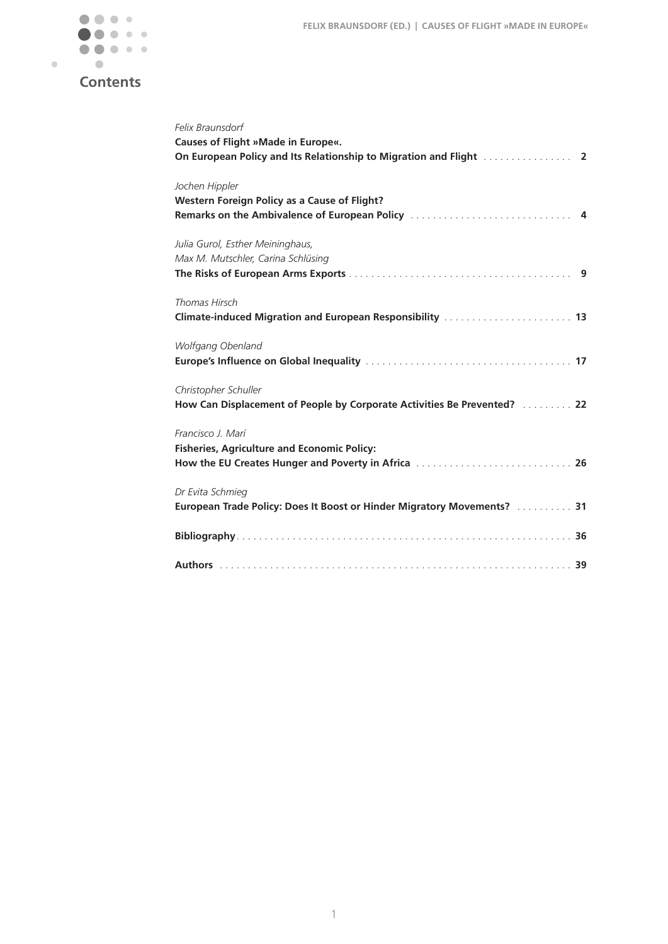

# **Contents**

| Felix Braunsdorf<br>Causes of Flight »Made in Europe«.                                                                            |
|-----------------------------------------------------------------------------------------------------------------------------------|
| Jochen Hippler<br>Western Foreign Policy as a Cause of Flight?                                                                    |
| Julia Gurol, Esther Meininghaus,<br>Max M. Mutschler, Carina Schlüsing                                                            |
| Thomas Hirsch<br>Climate-induced Migration and European Responsibility [11] Climate-induced Migration and European Responsibility |
| Wolfgang Obenland                                                                                                                 |
| Christopher Schuller<br>How Can Displacement of People by Corporate Activities Be Prevented?  22                                  |
| Francisco J. Marí<br><b>Fisheries, Agriculture and Economic Policy:</b><br>How the EU Creates Hunger and Poverty in Africa  26    |
| Dr Evita Schmieg<br>European Trade Policy: Does It Boost or Hinder Migratory Movements?  31                                       |
|                                                                                                                                   |
|                                                                                                                                   |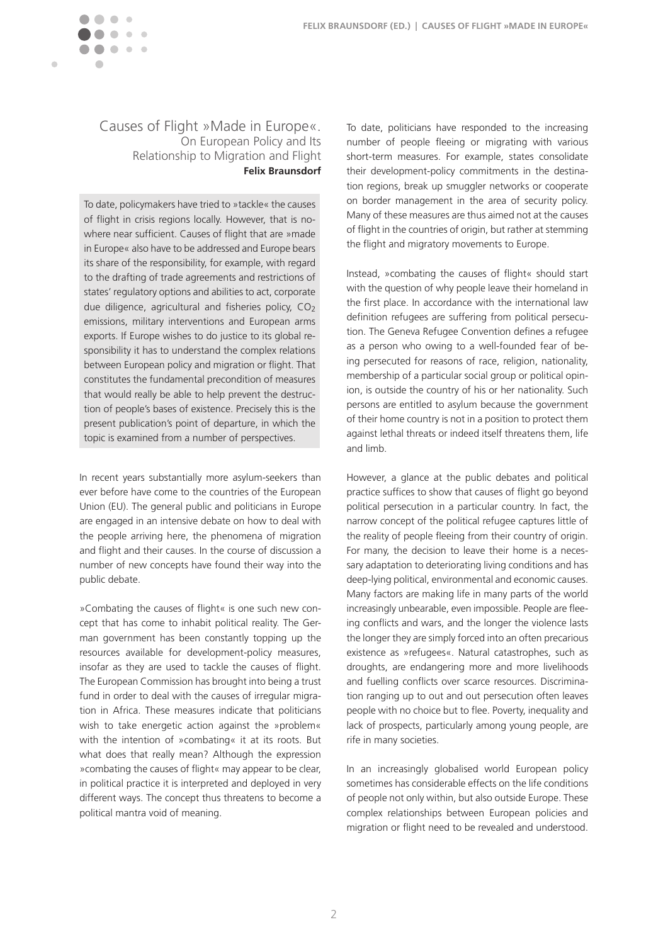<span id="page-2-0"></span>

### Causes of Flight »Made in Europe«. On European Policy and Its Relationship to Migration and Flight **Felix Braunsdorf**

To date, policymakers have tried to »tackle« the causes of flight in crisis regions locally. However, that is nowhere near sufficient. Causes of flight that are »made in Europe« also have to be addressed and Europe bears its share of the responsibility, for example, with regard to the drafting of trade agreements and restrictions of states' regulatory options and abilities to act, corporate due diligence, agricultural and fisheries policy,  $CO<sub>2</sub>$ emissions, military interventions and European arms exports. If Europe wishes to do justice to its global responsibility it has to understand the complex relations between European policy and migration or flight. That constitutes the fundamental precondition of measures that would really be able to help prevent the destruction of people's bases of existence. Precisely this is the present publication's point of departure, in which the topic is examined from a number of perspectives.

In recent years substantially more asylum-seekers than ever before have come to the countries of the European Union (EU). The general public and politicians in Europe are engaged in an intensive debate on how to deal with the people arriving here, the phenomena of migration and flight and their causes. In the course of discussion a number of new concepts have found their way into the public debate.

»Combating the causes of flight« is one such new concept that has come to inhabit political reality. The German government has been constantly topping up the resources available for development-policy measures, insofar as they are used to tackle the causes of flight. The European Commission has brought into being a trust fund in order to deal with the causes of irregular migration in Africa. These measures indicate that politicians wish to take energetic action against the »problem« with the intention of »combating« it at its roots. But what does that really mean? Although the expression »combating the causes of flight« may appear to be clear, in political practice it is interpreted and deployed in very different ways. The concept thus threatens to become a political mantra void of meaning.

To date, politicians have responded to the increasing number of people fleeing or migrating with various short-term measures. For example, states consolidate their development-policy commitments in the destination regions, break up smuggler networks or cooperate on border management in the area of security policy. Many of these measures are thus aimed not at the causes of flight in the countries of origin, but rather at stemming the flight and migratory movements to Europe.

Instead, »combating the causes of flight« should start with the question of why people leave their homeland in the first place. In accordance with the international law definition refugees are suffering from political persecution. The Geneva Refugee Convention defines a refugee as a person who owing to a well-founded fear of being persecuted for reasons of race, religion, nationality, membership of a particular social group or political opinion, is outside the country of his or her nationality. Such persons are entitled to asylum because the government of their home country is not in a position to protect them against lethal threats or indeed itself threatens them, life and limb.

However, a glance at the public debates and political practice suffices to show that causes of flight go beyond political persecution in a particular country. In fact, the narrow concept of the political refugee captures little of the reality of people fleeing from their country of origin. For many, the decision to leave their home is a necessary adaptation to deteriorating living conditions and has deep-lying political, environmental and economic causes. Many factors are making life in many parts of the world increasingly unbearable, even impossible. People are fleeing conflicts and wars, and the longer the violence lasts the longer they are simply forced into an often precarious existence as »refugees«. Natural catastrophes, such as droughts, are endangering more and more livelihoods and fuelling conflicts over scarce resources. Discrimination ranging up to out and out persecution often leaves people with no choice but to flee. Poverty, inequality and lack of prospects, particularly among young people, are rife in many societies.

In an increasingly globalised world European policy sometimes has considerable effects on the life conditions of people not only within, but also outside Europe. These complex relationships between European policies and migration or flight need to be revealed and understood.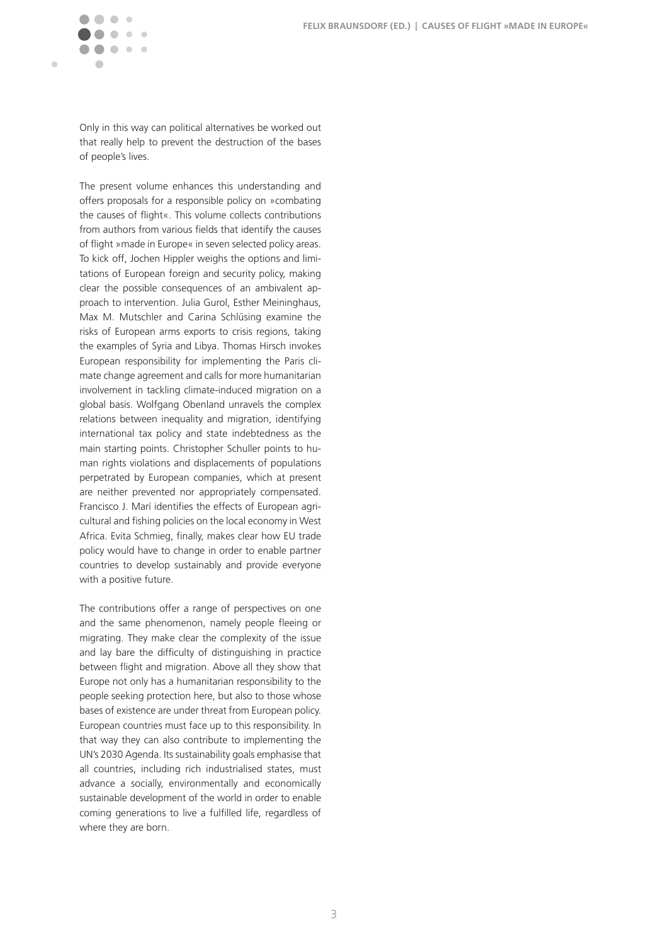

Only in this way can political alternatives be worked out that really help to prevent the destruction of the bases of people's lives.

The present volume enhances this understanding and offers proposals for a responsible policy on »combating the causes of flight«. This volume collects contributions from authors from various fields that identify the causes of flight »made in Europe« in seven selected policy areas. To kick off, Jochen Hippler weighs the options and limitations of European foreign and security policy, making clear the possible consequences of an ambivalent approach to intervention. Julia Gurol, Esther Meininghaus, Max M. Mutschler and Carina Schlüsing examine the risks of European arms exports to crisis regions, taking the examples of Syria and Libya. Thomas Hirsch invokes European responsibility for implementing the Paris climate change agreement and calls for more humanitarian involvement in tackling climate-induced migration on a global basis. Wolfgang Obenland unravels the complex relations between inequality and migration, identifying international tax policy and state indebtedness as the main starting points. Christopher Schuller points to human rights violations and displacements of populations perpetrated by European companies, which at present are neither prevented nor appropriately compensated. Francisco J. Marí identifies the effects of European agricultural and fishing policies on the local economy in West Africa. Evita Schmieg, finally, makes clear how EU trade policy would have to change in order to enable partner countries to develop sustainably and provide everyone with a positive future.

The contributions offer a range of perspectives on one and the same phenomenon, namely people fleeing or migrating. They make clear the complexity of the issue and lay bare the difficulty of distinguishing in practice between flight and migration. Above all they show that Europe not only has a humanitarian responsibility to the people seeking protection here, but also to those whose bases of existence are under threat from European policy. European countries must face up to this responsibility. In that way they can also contribute to implementing the UN's 2030 Agenda. Its sustainability goals emphasise that all countries, including rich industrialised states, must advance a socially, environmentally and economically sustainable development of the world in order to enable coming generations to live a fulfilled life, regardless of where they are born.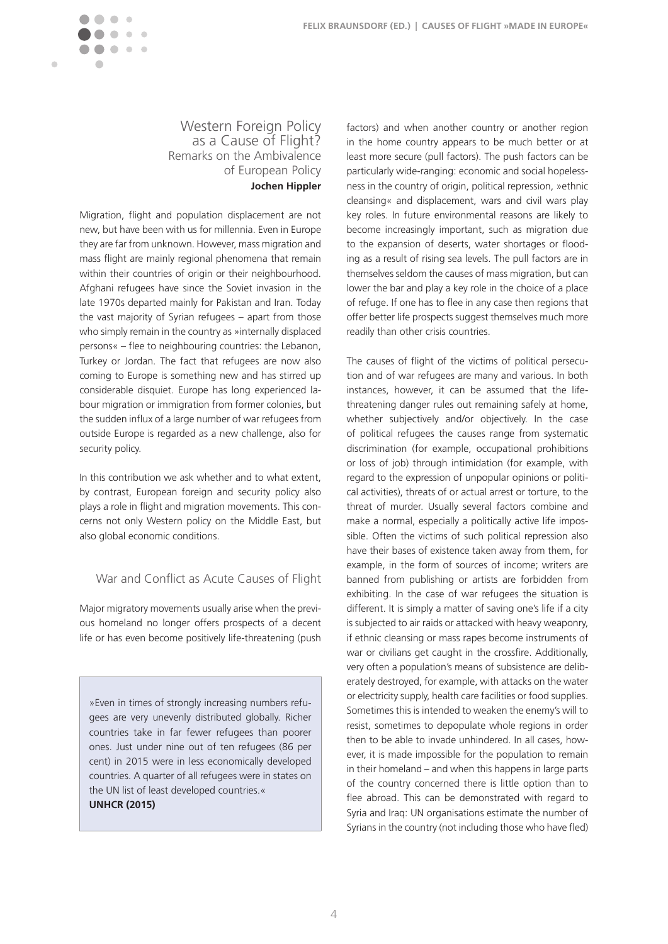**FELIX BRAUNSDORF (ED.) | CAUSES OF FLIGHT »MADE IN EUROPE«**

<span id="page-4-0"></span>

 $\blacksquare$ 

### Western Foreign Policy as a Cause of Flight? Remarks on the Ambivalence of European Policy **Jochen Hippler**

Migration, flight and population displacement are not new, but have been with us for millennia. Even in Europe they are far from unknown. However, mass migration and mass flight are mainly regional phenomena that remain within their countries of origin or their neighbourhood. Afghani refugees have since the Soviet invasion in the late 1970s departed mainly for Pakistan and Iran. Today the vast majority of Syrian refugees – apart from those who simply remain in the country as »internally displaced persons« – flee to neighbouring countries: the Lebanon, Turkey or Jordan. The fact that refugees are now also coming to Europe is something new and has stirred up considerable disquiet. Europe has long experienced labour migration or immigration from former colonies, but the sudden influx of a large number of war refugees from outside Europe is regarded as a new challenge, also for security policy.

In this contribution we ask whether and to what extent, by contrast, European foreign and security policy also plays a role in flight and migration movements. This concerns not only Western policy on the Middle East, but also global economic conditions.

### War and Conflict as Acute Causes of Flight

Major migratory movements usually arise when the previous homeland no longer offers prospects of a decent life or has even become positively life-threatening (push

»Even in times of strongly increasing numbers refugees are very unevenly distributed globally. Richer countries take in far fewer refugees than poorer ones. Just under nine out of ten refugees (86 per cent) in 2015 were in less economically developed countries. A quarter of all refugees were in states on the UN list of least developed countries.« **UNHCR (2015)**

factors) and when another country or another region in the home country appears to be much better or at least more secure (pull factors). The push factors can be particularly wide-ranging: economic and social hopelessness in the country of origin, political repression, »ethnic cleansing« and displacement, wars and civil wars play key roles. In future environmental reasons are likely to become increasingly important, such as migration due to the expansion of deserts, water shortages or flooding as a result of rising sea levels. The pull factors are in themselves seldom the causes of mass migration, but can lower the bar and play a key role in the choice of a place of refuge. If one has to flee in any case then regions that offer better life prospects suggest themselves much more readily than other crisis countries.

The causes of flight of the victims of political persecution and of war refugees are many and various. In both instances, however, it can be assumed that the lifethreatening danger rules out remaining safely at home, whether subjectively and/or objectively. In the case of political refugees the causes range from systematic discrimination (for example, occupational prohibitions or loss of job) through intimidation (for example, with regard to the expression of unpopular opinions or political activities), threats of or actual arrest or torture, to the threat of murder. Usually several factors combine and make a normal, especially a politically active life impossible. Often the victims of such political repression also have their bases of existence taken away from them, for example, in the form of sources of income; writers are banned from publishing or artists are forbidden from exhibiting. In the case of war refugees the situation is different. It is simply a matter of saving one's life if a city is subjected to air raids or attacked with heavy weaponry, if ethnic cleansing or mass rapes become instruments of war or civilians get caught in the crossfire. Additionally, very often a population's means of subsistence are deliberately destroyed, for example, with attacks on the water or electricity supply, health care facilities or food supplies. Sometimes this is intended to weaken the enemy's will to resist, sometimes to depopulate whole regions in order then to be able to invade unhindered. In all cases, however, it is made impossible for the population to remain in their homeland – and when this happens in large parts of the country concerned there is little option than to flee abroad. This can be demonstrated with regard to Syria and Iraq: UN organisations estimate the number of Syrians in the country (not including those who have fled)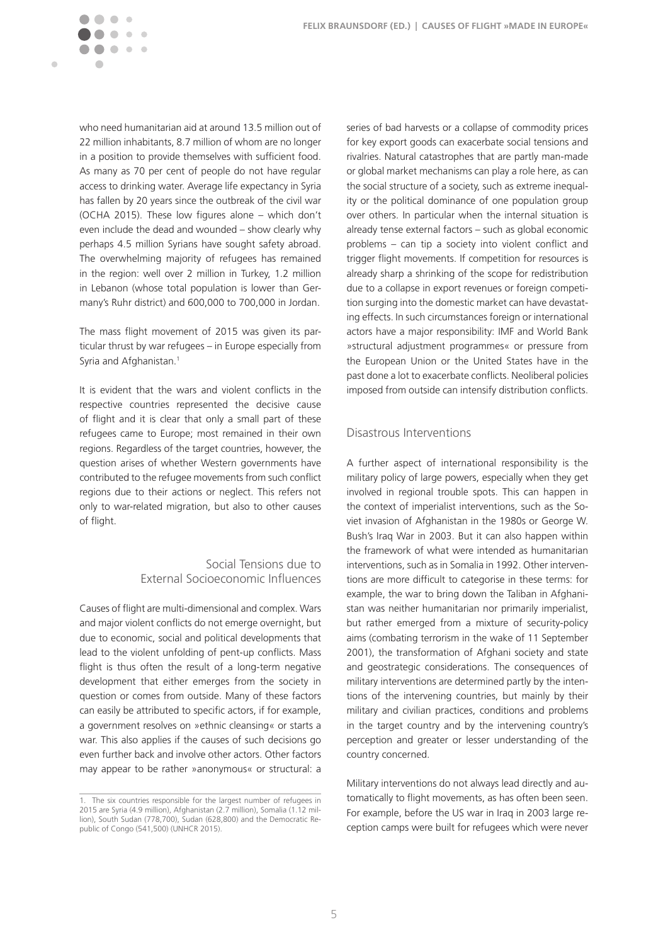

 $\mathbb{C}$ 

 $\sim$ 

who need humanitarian aid at around 13.5 million out of 22 million inhabitants, 8.7 million of whom are no longer in a position to provide themselves with sufficient food. As many as 70 per cent of people do not have regular access to drinking water. Average life expectancy in Syria has fallen by 20 years since the outbreak of the civil war (OCHA 2015). These low figures alone – which don't even include the dead and wounded – show clearly why perhaps 4.5 million Syrians have sought safety abroad. The overwhelming majority of refugees has remained in the region: well over 2 million in Turkey, 1.2 million in Lebanon (whose total population is lower than Germany's Ruhr district) and 600,000 to 700,000 in Jordan.

The mass flight movement of 2015 was given its particular thrust by war refugees – in Europe especially from Syria and Afghanistan.<sup>1</sup>

It is evident that the wars and violent conflicts in the respective countries represented the decisive cause of flight and it is clear that only a small part of these refugees came to Europe; most remained in their own regions. Regardless of the target countries, however, the question arises of whether Western governments have contributed to the refugee movements from such conflict regions due to their actions or neglect. This refers not only to war-related migration, but also to other causes of flight.

### Social Tensions due to External Socioeconomic Influences

Causes of flight are multi-dimensional and complex. Wars and major violent conflicts do not emerge overnight, but due to economic, social and political developments that lead to the violent unfolding of pent-up conflicts. Mass flight is thus often the result of a long-term negative development that either emerges from the society in question or comes from outside. Many of these factors can easily be attributed to specific actors, if for example, a government resolves on »ethnic cleansing« or starts a war. This also applies if the causes of such decisions go even further back and involve other actors. Other factors may appear to be rather »anonymous« or structural: a series of bad harvests or a collapse of commodity prices for key export goods can exacerbate social tensions and rivalries. Natural catastrophes that are partly man-made or global market mechanisms can play a role here, as can the social structure of a society, such as extreme inequality or the political dominance of one population group over others. In particular when the internal situation is already tense external factors – such as global economic problems – can tip a society into violent conflict and trigger flight movements. If competition for resources is already sharp a shrinking of the scope for redistribution due to a collapse in export revenues or foreign competition surging into the domestic market can have devastating effects. In such circumstances foreign or international actors have a major responsibility: IMF and World Bank »structural adjustment programmes« or pressure from the European Union or the United States have in the past done a lot to exacerbate conflicts. Neoliberal policies imposed from outside can intensify distribution conflicts.

#### Disastrous Interventions

A further aspect of international responsibility is the military policy of large powers, especially when they get involved in regional trouble spots. This can happen in the context of imperialist interventions, such as the Soviet invasion of Afghanistan in the 1980s or George W. Bush's Iraq War in 2003. But it can also happen within the framework of what were intended as humanitarian interventions, such as in Somalia in 1992. Other interventions are more difficult to categorise in these terms: for example, the war to bring down the Taliban in Afghanistan was neither humanitarian nor primarily imperialist, but rather emerged from a mixture of security-policy aims (combating terrorism in the wake of 11 September 2001), the transformation of Afghani society and state and geostrategic considerations. The consequences of military interventions are determined partly by the intentions of the intervening countries, but mainly by their military and civilian practices, conditions and problems in the target country and by the intervening country's perception and greater or lesser understanding of the country concerned.

Military interventions do not always lead directly and automatically to flight movements, as has often been seen. For example, before the US war in Iraq in 2003 large reception camps were built for refugees which were never

The six countries responsible for the largest number of refugees in 2015 are Syria (4.9 million), Afghanistan (2.7 million), Somalia (1.12 million), South Sudan (778,700), Sudan (628,800) and the Democratic Republic of Congo (541,500) (UNHCR 2015).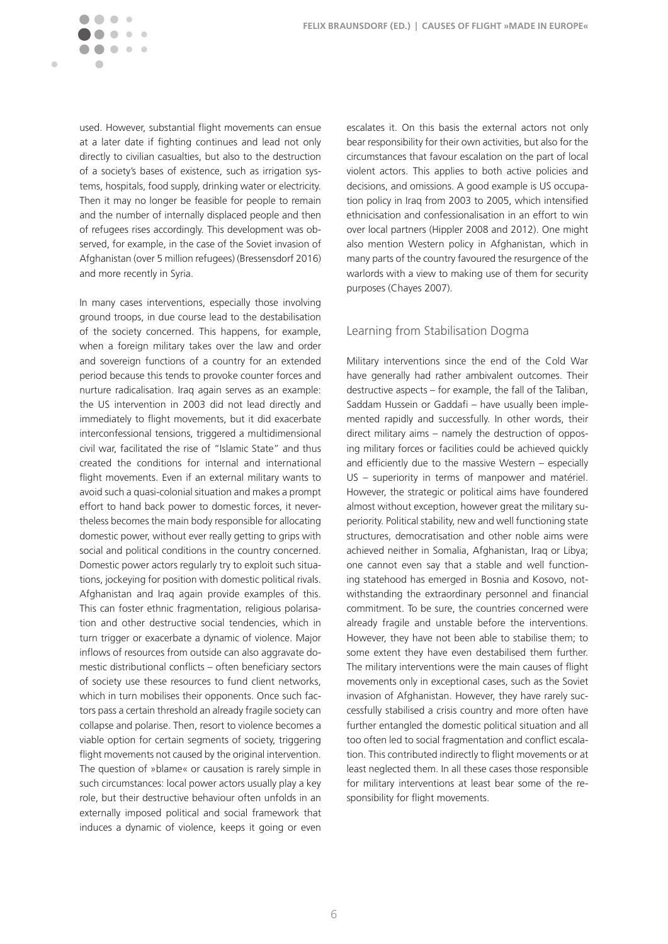used. However, substantial flight movements can ensue at a later date if fighting continues and lead not only directly to civilian casualties, but also to the destruction of a society's bases of existence, such as irrigation systems, hospitals, food supply, drinking water or electricity. Then it may no longer be feasible for people to remain and the number of internally displaced people and then of refugees rises accordingly. This development was observed, for example, in the case of the Soviet invasion of Afghanistan (over 5 million refugees) (Bressensdorf 2016) and more recently in Syria.

 $\sim$   $\sim$ 

 $\blacksquare$ 

In many cases interventions, especially those involving ground troops, in due course lead to the destabilisation of the society concerned. This happens, for example, when a foreign military takes over the law and order and sovereign functions of a country for an extended period because this tends to provoke counter forces and nurture radicalisation. Iraq again serves as an example: the US intervention in 2003 did not lead directly and immediately to flight movements, but it did exacerbate interconfessional tensions, triggered a multidimensional civil war, facilitated the rise of "Islamic State" and thus created the conditions for internal and international flight movements. Even if an external military wants to avoid such a quasi-colonial situation and makes a prompt effort to hand back power to domestic forces, it nevertheless becomes the main body responsible for allocating domestic power, without ever really getting to grips with social and political conditions in the country concerned. Domestic power actors regularly try to exploit such situations, jockeying for position with domestic political rivals. Afghanistan and Iraq again provide examples of this. This can foster ethnic fragmentation, religious polarisation and other destructive social tendencies, which in turn trigger or exacerbate a dynamic of violence. Major inflows of resources from outside can also aggravate domestic distributional conflicts – often beneficiary sectors of society use these resources to fund client networks, which in turn mobilises their opponents. Once such factors pass a certain threshold an already fragile society can collapse and polarise. Then, resort to violence becomes a viable option for certain segments of society, triggering flight movements not caused by the original intervention. The question of »blame« or causation is rarely simple in such circumstances: local power actors usually play a key role, but their destructive behaviour often unfolds in an externally imposed political and social framework that induces a dynamic of violence, keeps it going or even

escalates it. On this basis the external actors not only bear responsibility for their own activities, but also for the circumstances that favour escalation on the part of local violent actors. This applies to both active policies and decisions, and omissions. A good example is US occupation policy in Iraq from 2003 to 2005, which intensified ethnicisation and confessionalisation in an effort to win over local partners (Hippler 2008 and 2012). One might also mention Western policy in Afghanistan, which in many parts of the country favoured the resurgence of the warlords with a view to making use of them for security purposes (Chayes 2007).

#### Learning from Stabilisation Dogma

Military interventions since the end of the Cold War have generally had rather ambivalent outcomes. Their destructive aspects – for example, the fall of the Taliban, Saddam Hussein or Gaddafi – have usually been implemented rapidly and successfully. In other words, their direct military aims – namely the destruction of opposing military forces or facilities could be achieved quickly and efficiently due to the massive Western – especially US – superiority in terms of manpower and matériel. However, the strategic or political aims have foundered almost without exception, however great the military superiority. Political stability, new and well functioning state structures, democratisation and other noble aims were achieved neither in Somalia, Afghanistan, Iraq or Libya; one cannot even say that a stable and well functioning statehood has emerged in Bosnia and Kosovo, notwithstanding the extraordinary personnel and financial commitment. To be sure, the countries concerned were already fragile and unstable before the interventions. However, they have not been able to stabilise them; to some extent they have even destabilised them further. The military interventions were the main causes of flight movements only in exceptional cases, such as the Soviet invasion of Afghanistan. However, they have rarely successfully stabilised a crisis country and more often have further entangled the domestic political situation and all too often led to social fragmentation and conflict escalation. This contributed indirectly to flight movements or at least neglected them. In all these cases those responsible for military interventions at least bear some of the responsibility for flight movements.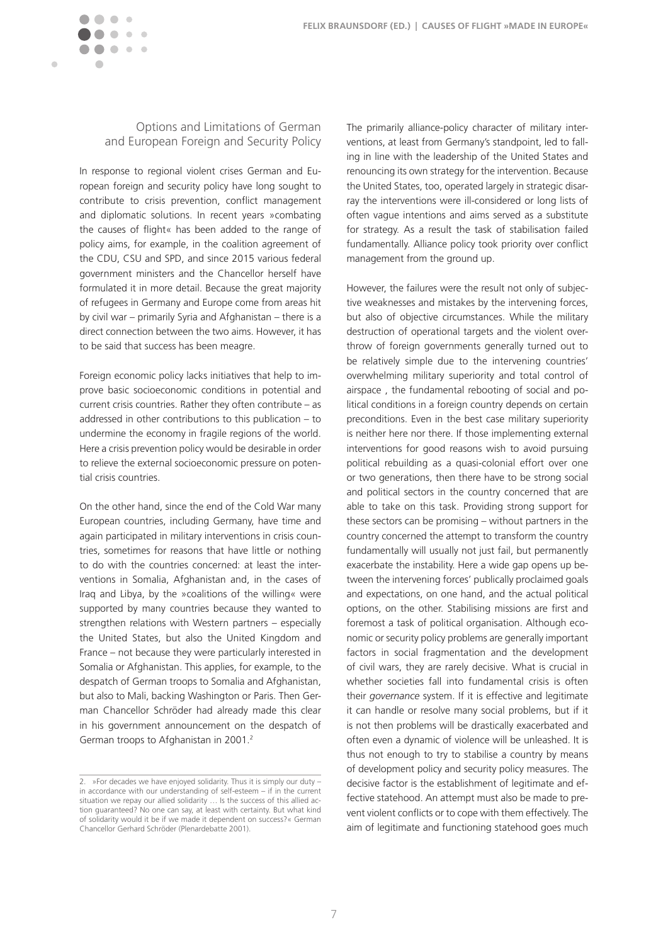

### Options and Limitations of German and European Foreign and Security Policy

In response to regional violent crises German and European foreign and security policy have long sought to contribute to crisis prevention, conflict management and diplomatic solutions. In recent years »combating the causes of flight« has been added to the range of policy aims, for example, in the coalition agreement of the CDU, CSU and SPD, and since 2015 various federal government ministers and the Chancellor herself have formulated it in more detail. Because the great majority of refugees in Germany and Europe come from areas hit by civil war – primarily Syria and Afghanistan – there is a direct connection between the two aims. However, it has to be said that success has been meagre.

Foreign economic policy lacks initiatives that help to improve basic socioeconomic conditions in potential and current crisis countries. Rather they often contribute – as addressed in other contributions to this publication – to undermine the economy in fragile regions of the world. Here a crisis prevention policy would be desirable in order to relieve the external socioeconomic pressure on potential crisis countries.

On the other hand, since the end of the Cold War many European countries, including Germany, have time and again participated in military interventions in crisis countries, sometimes for reasons that have little or nothing to do with the countries concerned: at least the interventions in Somalia, Afghanistan and, in the cases of Iraq and Libya, by the »coalitions of the willing« were supported by many countries because they wanted to strengthen relations with Western partners – especially the United States, but also the United Kingdom and France – not because they were particularly interested in Somalia or Afghanistan. This applies, for example, to the despatch of German troops to Somalia and Afghanistan, but also to Mali, backing Washington or Paris. Then German Chancellor Schröder had already made this clear in his government announcement on the despatch of German troops to Afghanistan in 2001.<sup>2</sup>

The primarily alliance-policy character of military interventions, at least from Germany's standpoint, led to falling in line with the leadership of the United States and renouncing its own strategy for the intervention. Because the United States, too, operated largely in strategic disarray the interventions were ill-considered or long lists of often vague intentions and aims served as a substitute for strategy. As a result the task of stabilisation failed fundamentally. Alliance policy took priority over conflict management from the ground up.

However, the failures were the result not only of subjective weaknesses and mistakes by the intervening forces, but also of objective circumstances. While the military destruction of operational targets and the violent overthrow of foreign governments generally turned out to be relatively simple due to the intervening countries' overwhelming military superiority and total control of airspace , the fundamental rebooting of social and political conditions in a foreign country depends on certain preconditions. Even in the best case military superiority is neither here nor there. If those implementing external interventions for good reasons wish to avoid pursuing political rebuilding as a quasi-colonial effort over one or two generations, then there have to be strong social and political sectors in the country concerned that are able to take on this task. Providing strong support for these sectors can be promising – without partners in the country concerned the attempt to transform the country fundamentally will usually not just fail, but permanently exacerbate the instability. Here a wide gap opens up between the intervening forces' publically proclaimed goals and expectations, on one hand, and the actual political options, on the other. Stabilising missions are first and foremost a task of political organisation. Although economic or security policy problems are generally important factors in social fragmentation and the development of civil wars, they are rarely decisive. What is crucial in whether societies fall into fundamental crisis is often their *governance* system. If it is effective and legitimate it can handle or resolve many social problems, but if it is not then problems will be drastically exacerbated and often even a dynamic of violence will be unleashed. It is thus not enough to try to stabilise a country by means of development policy and security policy measures. The decisive factor is the establishment of legitimate and effective statehood. An attempt must also be made to prevent violent conflicts or to cope with them effectively. The aim of legitimate and functioning statehood goes much

<sup>2.</sup> »For decades we have enjoyed solidarity. Thus it is simply our duty – in accordance with our understanding of self-esteem – if in the current situation we repay our allied solidarity … Is the success of this allied action guaranteed? No one can say, at least with certainty. But what kind of solidarity would it be if we made it dependent on success?« German Chancellor Gerhard Schröder (Plenardebatte 2001).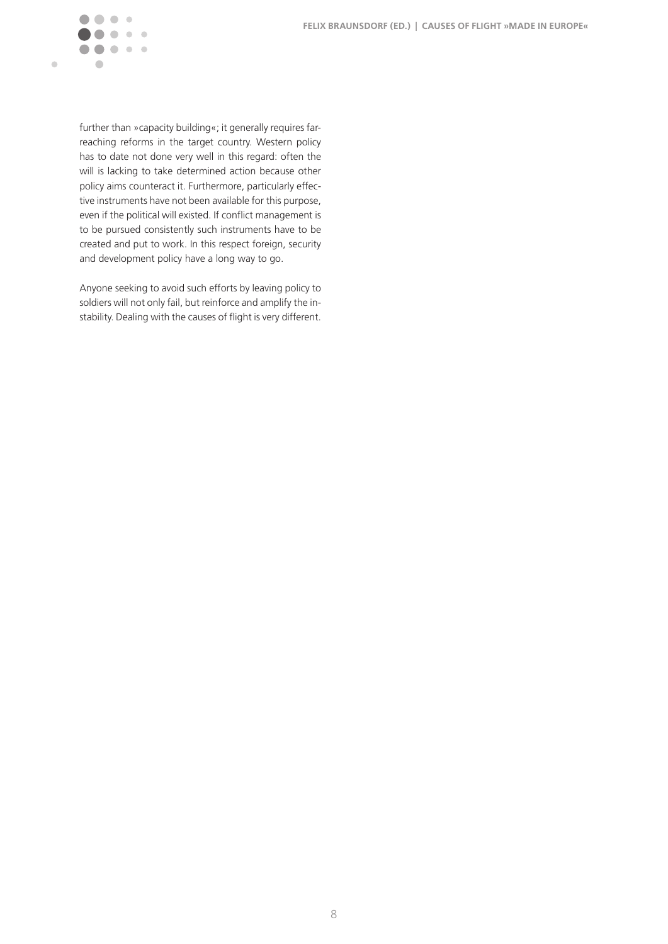

further than »capacity building«; it generally requires farreaching reforms in the target country. Western policy has to date not done very well in this regard: often the will is lacking to take determined action because other policy aims counteract it. Furthermore, particularly effective instruments have not been available for this purpose, even if the political will existed. If conflict management is to be pursued consistently such instruments have to be created and put to work. In this respect foreign, security and development policy have a long way to go.

Anyone seeking to avoid such efforts by leaving policy to soldiers will not only fail, but reinforce and amplify the instability. Dealing with the causes of flight is very different.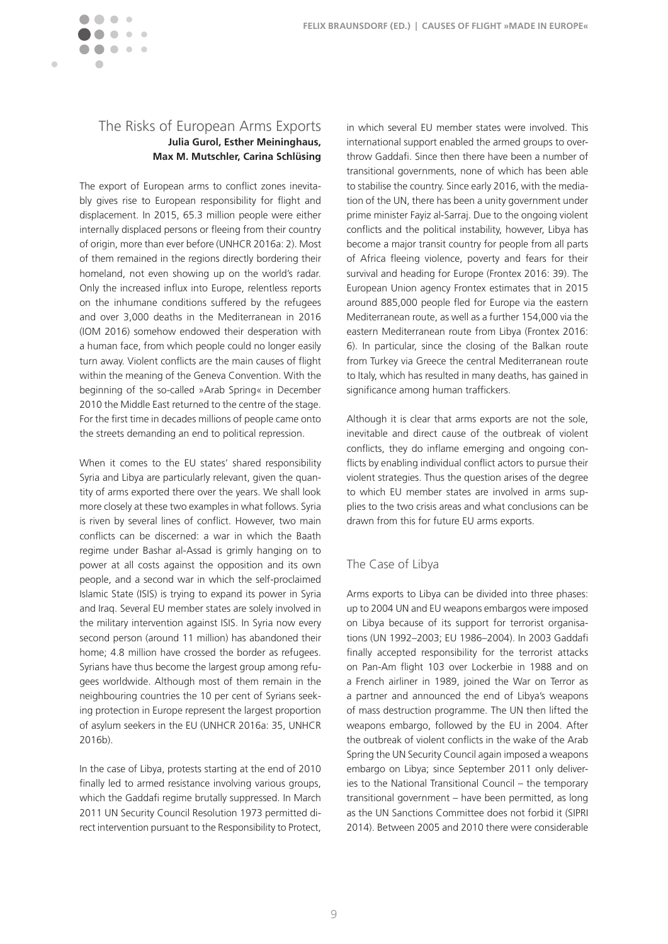## The Risks of European Arms Exports **Julia Gurol, Esther Meininghaus, Max M. Mutschler, Carina Schlüsing**

 $\sim$ 

<span id="page-9-0"></span>Ċ

The export of European arms to conflict zones inevitably gives rise to European responsibility for flight and displacement. In 2015, 65.3 million people were either internally displaced persons or fleeing from their country of origin, more than ever before (UNHCR 2016a: 2). Most of them remained in the regions directly bordering their homeland, not even showing up on the world's radar. Only the increased influx into Europe, relentless reports on the inhumane conditions suffered by the refugees and over 3,000 deaths in the Mediterranean in 2016 (IOM 2016) somehow endowed their desperation with a human face, from which people could no longer easily turn away. Violent conflicts are the main causes of flight within the meaning of the Geneva Convention. With the beginning of the so-called »Arab Spring« in December 2010 the Middle East returned to the centre of the stage. For the first time in decades millions of people came onto the streets demanding an end to political repression.

When it comes to the EU states' shared responsibility Syria and Libya are particularly relevant, given the quantity of arms exported there over the years. We shall look more closely at these two examples in what follows. Syria is riven by several lines of conflict. However, two main conflicts can be discerned: a war in which the Baath regime under Bashar al-Assad is grimly hanging on to power at all costs against the opposition and its own people, and a second war in which the self-proclaimed Islamic State (ISIS) is trying to expand its power in Syria and Iraq. Several EU member states are solely involved in the military intervention against ISIS. In Syria now every second person (around 11 million) has abandoned their home; 4.8 million have crossed the border as refugees. Syrians have thus become the largest group among refugees worldwide. Although most of them remain in the neighbouring countries the 10 per cent of Syrians seeking protection in Europe represent the largest proportion of asylum seekers in the EU (UNHCR 2016a: 35, UNHCR 2016b).

In the case of Libya, protests starting at the end of 2010 finally led to armed resistance involving various groups, which the Gaddafi regime brutally suppressed. In March 2011 UN Security Council Resolution 1973 permitted direct intervention pursuant to the Responsibility to Protect,

in which several EU member states were involved. This international support enabled the armed groups to overthrow Gaddafi. Since then there have been a number of transitional governments, none of which has been able to stabilise the country. Since early 2016, with the mediation of the UN, there has been a unity government under prime minister Fayiz al-Sarraj. Due to the ongoing violent conflicts and the political instability, however, Libya has become a major transit country for people from all parts of Africa fleeing violence, poverty and fears for their survival and heading for Europe (Frontex 2016: 39). The European Union agency Frontex estimates that in 2015 around 885,000 people fled for Europe via the eastern Mediterranean route, as well as a further 154,000 via the eastern Mediterranean route from Libya (Frontex 2016: 6). In particular, since the closing of the Balkan route from Turkey via Greece the central Mediterranean route to Italy, which has resulted in many deaths, has gained in significance among human traffickers.

Although it is clear that arms exports are not the sole, inevitable and direct cause of the outbreak of violent conflicts, they do inflame emerging and ongoing conflicts by enabling individual conflict actors to pursue their violent strategies. Thus the question arises of the degree to which EU member states are involved in arms supplies to the two crisis areas and what conclusions can be drawn from this for future EU arms exports.

#### The Case of Libya

Arms exports to Libya can be divided into three phases: up to 2004 UN and EU weapons embargos were imposed on Libya because of its support for terrorist organisations (UN 1992–2003; EU 1986–2004). In 2003 Gaddafi finally accepted responsibility for the terrorist attacks on Pan-Am flight 103 over Lockerbie in 1988 and on a French airliner in 1989, joined the War on Terror as a partner and announced the end of Libya's weapons of mass destruction programme. The UN then lifted the weapons embargo, followed by the EU in 2004. After the outbreak of violent conflicts in the wake of the Arab Spring the UN Security Council again imposed a weapons embargo on Libya; since September 2011 only deliveries to the National Transitional Council – the temporary transitional government – have been permitted, as long as the UN Sanctions Committee does not forbid it (SIPRI 2014). Between 2005 and 2010 there were considerable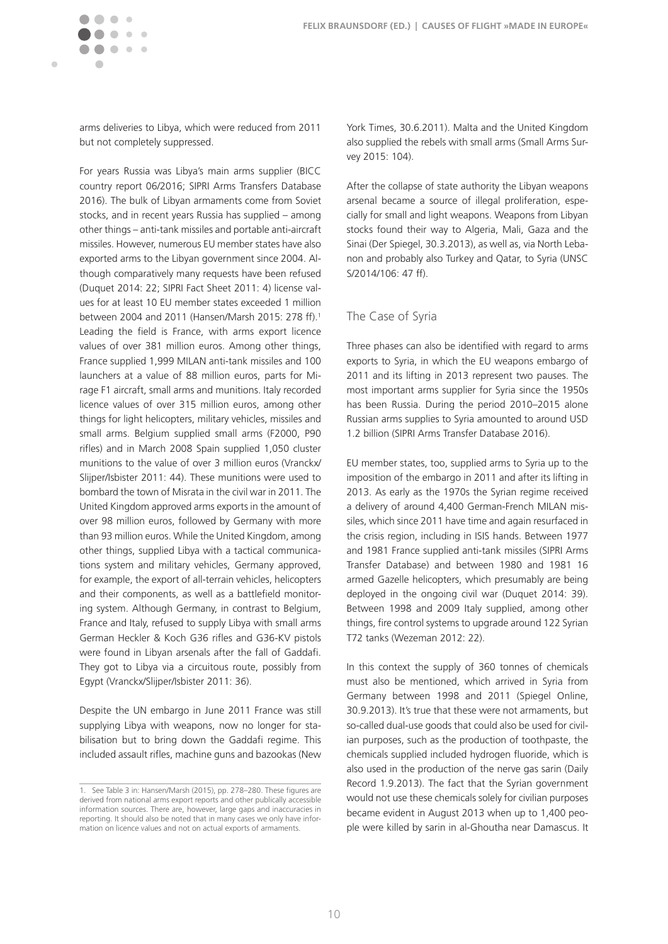arms deliveries to Libya, which were reduced from 2011 but not completely suppressed.

 $\bullet$  $\mathfrak{g}$  $\begin{array}{c} \begin{array}{c} \begin{array}{c} \begin{array}{c} \end{array} \end{array} \end{array} \end{array} \end{array}$  $\mathcal{C}$ 

 $\sim$  $\mathbf{r} = \mathbf{r}$ 

 $\blacksquare$ 

For years Russia was Libya's main arms supplier (BICC country report 06/2016; SIPRI Arms Transfers Database 2016). The bulk of Libyan armaments come from Soviet stocks, and in recent years Russia has supplied – among other things – anti-tank missiles and portable anti-aircraft missiles. However, numerous EU member states have also exported arms to the Libyan government since 2004. Although comparatively many requests have been refused (Duquet 2014: 22; SIPRI Fact Sheet 2011: 4) license values for at least 10 EU member states exceeded 1 million between 2004 and 2011 (Hansen/Marsh 2015: 278 ff).1 Leading the field is France, with arms export licence values of over 381 million euros. Among other things, France supplied 1,999 MILAN anti-tank missiles and 100 launchers at a value of 88 million euros, parts for Mirage F1 aircraft, small arms and munitions. Italy recorded licence values of over 315 million euros, among other things for light helicopters, military vehicles, missiles and small arms. Belgium supplied small arms (F2000, P90 rifles) and in March 2008 Spain supplied 1,050 cluster munitions to the value of over 3 million euros (Vranckx/ Slijper/Isbister 2011: 44). These munitions were used to bombard the town of Misrata in the civil war in 2011. The United Kingdom approved arms exports in the amount of over 98 million euros, followed by Germany with more than 93 million euros. While the United Kingdom, among other things, supplied Libya with a tactical communications system and military vehicles, Germany approved, for example, the export of all-terrain vehicles, helicopters and their components, as well as a battlefield monitoring system. Although Germany, in contrast to Belgium, France and Italy, refused to supply Libya with small arms German Heckler & Koch G36 rifles and G36-KV pistols were found in Libyan arsenals after the fall of Gaddafi. They got to Libya via a circuitous route, possibly from Egypt (Vranckx/Slijper/Isbister 2011: 36).

Despite the UN embargo in June 2011 France was still supplying Libya with weapons, now no longer for stabilisation but to bring down the Gaddafi regime. This included assault rifles, machine guns and bazookas (New

York Times, 30.6.2011). Malta and the United Kingdom also supplied the rebels with small arms (Small Arms Survey 2015: 104).

After the collapse of state authority the Libyan weapons arsenal became a source of illegal proliferation, especially for small and light weapons. Weapons from Libyan stocks found their way to Algeria, Mali, Gaza and the Sinai (Der Spiegel, 30.3.2013), as well as, via North Lebanon and probably also Turkey and Qatar, to Syria (UNSC S/2014/106: 47 ff).

#### The Case of Syria

Three phases can also be identified with regard to arms exports to Syria, in which the EU weapons embargo of 2011 and its lifting in 2013 represent two pauses. The most important arms supplier for Syria since the 1950s has been Russia. During the period 2010–2015 alone Russian arms supplies to Syria amounted to around USD 1.2 billion (SIPRI Arms Transfer Database 2016).

EU member states, too, supplied arms to Syria up to the imposition of the embargo in 2011 and after its lifting in 2013. As early as the 1970s the Syrian regime received a delivery of around 4,400 German-French MILAN missiles, which since 2011 have time and again resurfaced in the crisis region, including in ISIS hands. Between 1977 and 1981 France supplied anti-tank missiles (SIPRI Arms Transfer Database) and between 1980 and 1981 16 armed Gazelle helicopters, which presumably are being deployed in the ongoing civil war (Duquet 2014: 39). Between 1998 and 2009 Italy supplied, among other things, fire control systems to upgrade around 122 Syrian T72 tanks (Wezeman 2012: 22).

In this context the supply of 360 tonnes of chemicals must also be mentioned, which arrived in Syria from Germany between 1998 and 2011 (Spiegel Online, 30.9.2013). It's true that these were not armaments, but so-called dual-use goods that could also be used for civilian purposes, such as the production of toothpaste, the chemicals supplied included hydrogen fluoride, which is also used in the production of the nerve gas sarin (Daily Record 1.9.2013). The fact that the Syrian government would not use these chemicals solely for civilian purposes became evident in August 2013 when up to 1,400 people were killed by sarin in al-Ghoutha near Damascus. It

<sup>1.</sup> See Table 3 in: Hansen/Marsh (2015), pp. 278–280. These figures are derived from national arms export reports and other publically accessible information sources. There are, however, large gaps and inaccuracies in reporting. It should also be noted that in many cases we only have information on licence values and not on actual exports of armaments.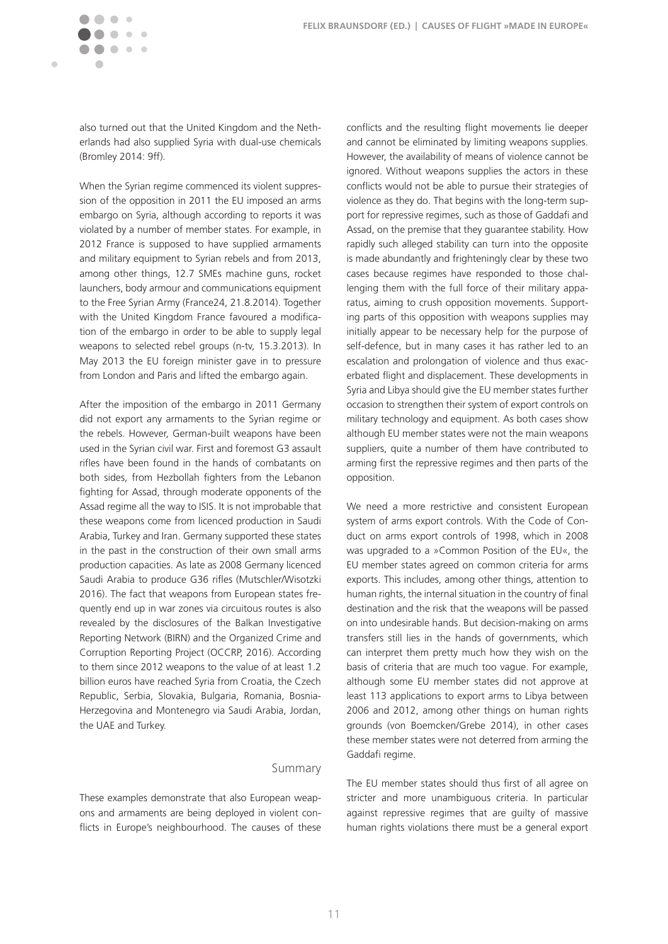also turned out that the United Kingdom and the Netherlands had also supplied Syria with dual-use chemicals (Bromley 2014: 9ff).

 $\sim$   $\sim$ 

 $\blacksquare$ 

When the Syrian regime commenced its violent suppression of the opposition in 2011 the EU imposed an arms embargo on Syria, although according to reports it was violated by a number of member states. For example, in 2012 France is supposed to have supplied armaments and military equipment to Syrian rebels and from 2013, among other things, 12.7 SMEs machine guns, rocket launchers, body armour and communications equipment to the Free Syrian Army (France24, 21.8.2014). Together with the United Kingdom France favoured a modification of the embargo in order to be able to supply legal weapons to selected rebel groups (n-tv, 15.3.2013). In May 2013 the EU foreign minister gave in to pressure from London and Paris and lifted the embargo again.

After the imposition of the embargo in 2011 Germany did not export any armaments to the Syrian regime or the rebels. However, German-built weapons have been used in the Syrian civil war. First and foremost G3 assault rifles have been found in the hands of combatants on both sides, from Hezbollah fighters from the Lebanon fighting for Assad, through moderate opponents of the Assad regime all the way to ISIS. It is not improbable that these weapons come from licenced production in Saudi Arabia, Turkey and Iran. Germany supported these states in the past in the construction of their own small arms production capacities. As late as 2008 Germany licenced Saudi Arabia to produce G36 rifles (Mutschler/Wisotzki 2016). The fact that weapons from European states frequently end up in war zones via circuitous routes is also revealed by the disclosures of the Balkan Investigative Reporting Network (BIRN) and the Organized Crime and Corruption Reporting Project (OCCRP, 2016). According to them since 2012 weapons to the value of at least 1.2 billion euros have reached Syria from Croatia, the Czech Republic, Serbia, Slovakia, Bulgaria, Romania, Bosnia-Herzegovina and Montenegro via Saudi Arabia, Jordan, the UAE and Turkey.

#### Summary

These examples demonstrate that also European weapons and armaments are being deployed in violent conflicts in Europe's neighbourhood. The causes of these conflicts and the resulting flight movements lie deeper and cannot be eliminated by limiting weapons supplies. However, the availability of means of violence cannot be ignored. Without weapons supplies the actors in these conflicts would not be able to pursue their strategies of violence as they do. That begins with the long-term support for repressive regimes, such as those of Gaddafi and Assad, on the premise that they guarantee stability. How rapidly such alleged stability can turn into the opposite is made abundantly and frighteningly clear by these two cases because regimes have responded to those challenging them with the full force of their military apparatus, aiming to crush opposition movements. Supporting parts of this opposition with weapons supplies may initially appear to be necessary help for the purpose of self-defence, but in many cases it has rather led to an escalation and prolongation of violence and thus exacerbated flight and displacement. These developments in Syria and Libya should give the EU member states further occasion to strengthen their system of export controls on military technology and equipment. As both cases show although EU member states were not the main weapons suppliers, quite a number of them have contributed to arming first the repressive regimes and then parts of the opposition.

We need a more restrictive and consistent European system of arms export controls. With the Code of Conduct on arms export controls of 1998, which in 2008 was upgraded to a »Common Position of the EU«, the EU member states agreed on common criteria for arms exports. This includes, among other things, attention to human rights, the internal situation in the country of final destination and the risk that the weapons will be passed on into undesirable hands. But decision-making on arms transfers still lies in the hands of governments, which can interpret them pretty much how they wish on the basis of criteria that are much too vague. For example, although some EU member states did not approve at least 113 applications to export arms to Libya between 2006 and 2012, among other things on human rights grounds (von Boemcken/Grebe 2014), in other cases these member states were not deterred from arming the Gaddafi regime.

The EU member states should thus first of all agree on stricter and more unambiguous criteria. In particular against repressive regimes that are guilty of massive human rights violations there must be a general export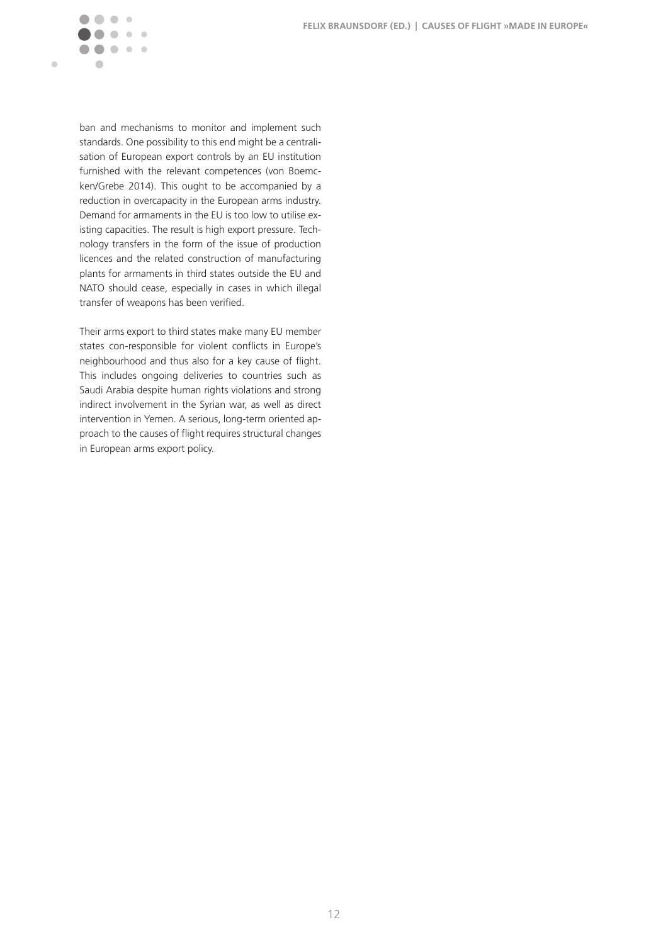

ban and mechanisms to monitor and implement such standards. One possibility to this end might be a centralisation of European export controls by an EU institution furnished with the relevant competences (von Boemcken/Grebe 2014). This ought to be accompanied by a reduction in overcapacity in the European arms industry. Demand for armaments in the EU is too low to utilise existing capacities. The result is high export pressure. Technology transfers in the form of the issue of production licences and the related construction of manufacturing plants for armaments in third states outside the EU and NATO should cease, especially in cases in which illegal transfer of weapons has been verified.

Their arms export to third states make many EU member states con-responsible for violent conflicts in Europe's neighbourhood and thus also for a key cause of flight. This includes ongoing deliveries to countries such as Saudi Arabia despite human rights violations and strong indirect involvement in the Syrian war, as well as direct intervention in Yemen. A serious, long-term oriented approach to the causes of flight requires structural changes in European arms export policy.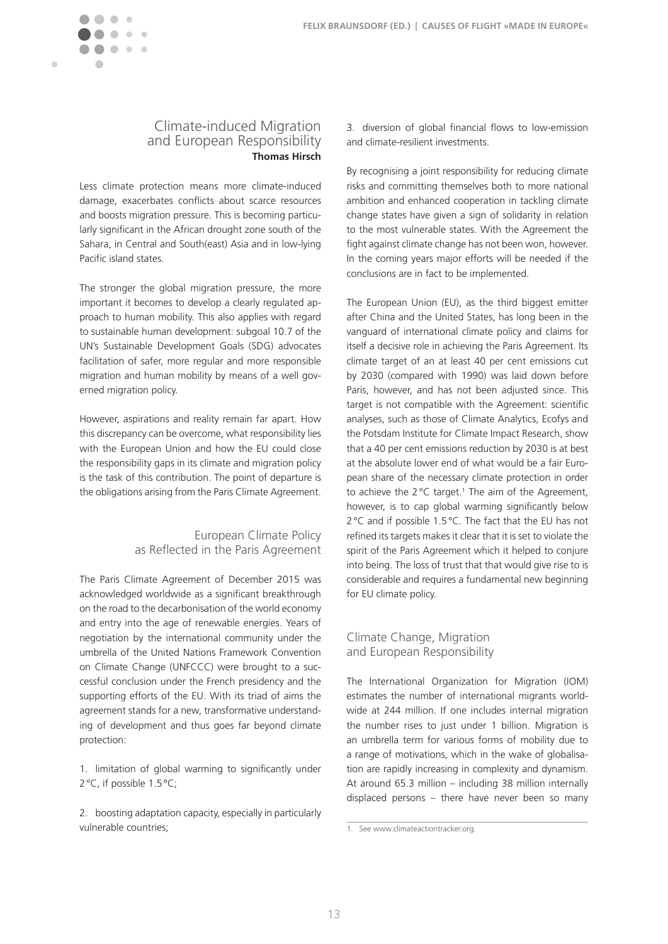



Less climate protection means more climate-induced damage, exacerbates conflicts about scarce resources and boosts migration pressure. This is becoming particularly significant in the African drought zone south of the Sahara, in Central and South(east) Asia and in low-lying Pacific island states.

 $\mathcal{C}$  $\mathbf{a}$  and  $\mathbf{a}$ 

<span id="page-13-0"></span> $\blacksquare$ 

The stronger the global migration pressure, the more important it becomes to develop a clearly regulated approach to human mobility. This also applies with regard to sustainable human development: subgoal 10.7 of the UN's Sustainable Development Goals (SDG) advocates facilitation of safer, more regular and more responsible migration and human mobility by means of a well governed migration policy.

However, aspirations and reality remain far apart. How this discrepancy can be overcome, what responsibility lies with the European Union and how the EU could close the responsibility gaps in its climate and migration policy is the task of this contribution. The point of departure is the obligations arising from the Paris Climate Agreement.

# European Climate Policy as Reflected in the Paris Agreement

The Paris Climate Agreement of December 2015 was acknowledged worldwide as a significant breakthrough on the road to the decarbonisation of the world economy and entry into the age of renewable energies. Years of negotiation by the international community under the umbrella of the United Nations Framework Convention on Climate Change (UNFCCC) were brought to a successful conclusion under the French presidency and the supporting efforts of the EU. With its triad of aims the agreement stands for a new, transformative understanding of development and thus goes far beyond climate protection:

1. limitation of global warming to significantly under 2°C, if possible 1.5°C;

2. boosting adaptation capacity, especially in particularly vulnerable countries;

3. diversion of global financial flows to low-emission and climate-resilient investments.

By recognising a joint responsibility for reducing climate risks and committing themselves both to more national ambition and enhanced cooperation in tackling climate change states have given a sign of solidarity in relation to the most vulnerable states. With the Agreement the fight against climate change has not been won, however. In the coming years major efforts will be needed if the conclusions are in fact to be implemented.

The European Union (EU), as the third biggest emitter after China and the United States, has long been in the vanguard of international climate policy and claims for itself a decisive role in achieving the Paris Agreement. Its climate target of an at least 40 per cent emissions cut by 2030 (compared with 1990) was laid down before Paris, however, and has not been adjusted since. This target is not compatible with the Agreement: scientific analyses, such as those of Climate Analytics, Ecofys and the Potsdam Institute for Climate Impact Research, show that a 40 per cent emissions reduction by 2030 is at best at the absolute lower end of what would be a fair European share of the necessary climate protection in order to achieve the  $2^{\circ}$ C target.<sup>1</sup> The aim of the Agreement, however, is to cap global warming significantly below 2°C and if possible 1.5°C. The fact that the EU has not refined its targets makes it clear that it is set to violate the spirit of the Paris Agreement which it helped to conjure into being. The loss of trust that that would give rise to is considerable and requires a fundamental new beginning for EU climate policy.

## Climate Change, Migration and European Responsibility

The International Organization for Migration (IOM) estimates the number of international migrants worldwide at 244 million. If one includes internal migration the number rises to just under 1 billion. Migration is an umbrella term for various forms of mobility due to a range of motivations, which in the wake of globalisation are rapidly increasing in complexity and dynamism. At around 65.3 million – including 38 million internally displaced persons – there have never been so many

<sup>1.</sup> See [www.climateactiontracker.org](http://www.climateactiontracker.org).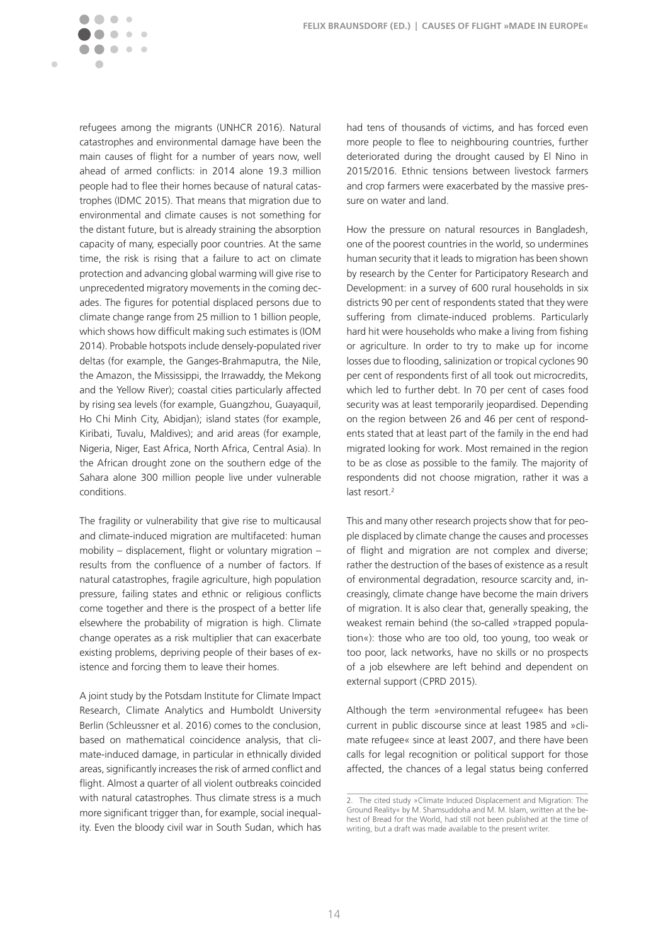$\blacksquare$ 

 $\mathfrak{g}$  $\sim$ 

refugees among the migrants (UNHCR 2016). Natural catastrophes and environmental damage have been the main causes of flight for a number of years now, well ahead of armed conflicts: in 2014 alone 19.3 million people had to flee their homes because of natural catastrophes (IDMC 2015). That means that migration due to environmental and climate causes is not something for the distant future, but is already straining the absorption capacity of many, especially poor countries. At the same time, the risk is rising that a failure to act on climate protection and advancing global warming will give rise to unprecedented migratory movements in the coming decades. The figures for potential displaced persons due to climate change range from 25 million to 1 billion people, which shows how difficult making such estimates is (IOM 2014). Probable hotspots include densely-populated river deltas (for example, the Ganges-Brahmaputra, the Nile, the Amazon, the Mississippi, the Irrawaddy, the Mekong and the Yellow River); coastal cities particularly affected by rising sea levels (for example, Guangzhou, Guayaquil, Ho Chi Minh City, Abidjan); island states (for example, Kiribati, Tuvalu, Maldives); and arid areas (for example, Nigeria, Niger, East Africa, North Africa, Central Asia). In the African drought zone on the southern edge of the Sahara alone 300 million people live under vulnerable conditions.

The fragility or vulnerability that give rise to multicausal and climate-induced migration are multifaceted: human mobility – displacement, flight or voluntary migration – results from the confluence of a number of factors. If natural catastrophes, fragile agriculture, high population pressure, failing states and ethnic or religious conflicts come together and there is the prospect of a better life elsewhere the probability of migration is high. Climate change operates as a risk multiplier that can exacerbate existing problems, depriving people of their bases of existence and forcing them to leave their homes.

A joint study by the Potsdam Institute for Climate Impact Research, Climate Analytics and Humboldt University Berlin (Schleussner et al. 2016) comes to the conclusion, based on mathematical coincidence analysis, that climate-induced damage, in particular in ethnically divided areas, significantly increases the risk of armed conflict and flight. Almost a quarter of all violent outbreaks coincided with natural catastrophes. Thus climate stress is a much more significant trigger than, for example, social inequality. Even the bloody civil war in South Sudan, which has had tens of thousands of victims, and has forced even more people to flee to neighbouring countries, further deteriorated during the drought caused by El Nino in 2015/2016. Ethnic tensions between livestock farmers and crop farmers were exacerbated by the massive pressure on water and land.

How the pressure on natural resources in Bangladesh, one of the poorest countries in the world, so undermines human security that it leads to migration has been shown by research by the Center for Participatory Research and Development: in a survey of 600 rural households in six districts 90 per cent of respondents stated that they were suffering from climate-induced problems. Particularly hard hit were households who make a living from fishing or agriculture. In order to try to make up for income losses due to flooding, salinization or tropical cyclones 90 per cent of respondents first of all took out microcredits, which led to further debt. In 70 per cent of cases food security was at least temporarily jeopardised. Depending on the region between 26 and 46 per cent of respondents stated that at least part of the family in the end had migrated looking for work. Most remained in the region to be as close as possible to the family. The majority of respondents did not choose migration, rather it was a last resort.<sup>2</sup>

This and many other research projects show that for people displaced by climate change the causes and processes of flight and migration are not complex and diverse; rather the destruction of the bases of existence as a result of environmental degradation, resource scarcity and, increasingly, climate change have become the main drivers of migration. It is also clear that, generally speaking, the weakest remain behind (the so-called »trapped population«): those who are too old, too young, too weak or too poor, lack networks, have no skills or no prospects of a job elsewhere are left behind and dependent on external support (CPRD 2015).

Although the term »environmental refugee« has been current in public discourse since at least 1985 and »climate refugee« since at least 2007, and there have been calls for legal recognition or political support for those affected, the chances of a legal status being conferred

<sup>2.</sup> The cited study »Climate Induced Displacement and Migration: The Ground Reality« by M. Shamsuddoha and M. M. Islam, written at the behest of Bread for the World, had still not been published at the time of writing, but a draft was made available to the present writer.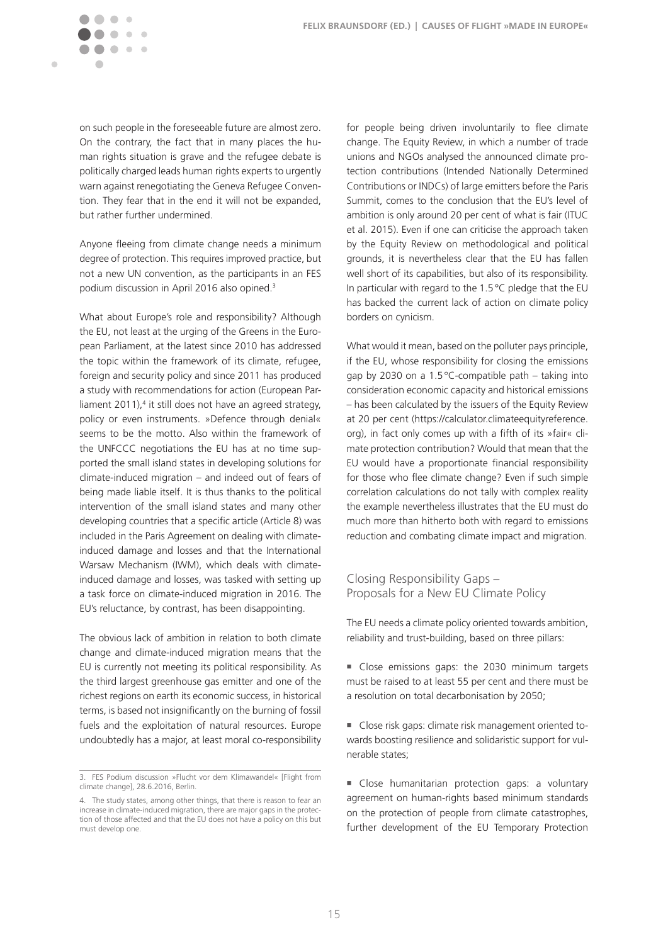

 $\blacksquare$ 

on such people in the foreseeable future are almost zero. On the contrary, the fact that in many places the human rights situation is grave and the refugee debate is politically charged leads human rights experts to urgently warn against renegotiating the Geneva Refugee Convention. They fear that in the end it will not be expanded, but rather further undermined.

Anyone fleeing from climate change needs a minimum degree of protection. This requires improved practice, but not a new UN convention, as the participants in an FES podium discussion in April 2016 also opined.<sup>3</sup>

What about Europe's role and responsibility? Although the EU, not least at the urging of the Greens in the European Parliament, at the latest since 2010 has addressed the topic within the framework of its climate, refugee, foreign and security policy and since 2011 has produced a study with recommendations for action (European Parliament 2011),<sup>4</sup> it still does not have an agreed strategy, policy or even instruments. »Defence through denial« seems to be the motto. Also within the framework of the UNFCCC negotiations the EU has at no time supported the small island states in developing solutions for climate-induced migration – and indeed out of fears of being made liable itself. It is thus thanks to the political intervention of the small island states and many other developing countries that a specific article (Article 8) was included in the Paris Agreement on dealing with climateinduced damage and losses and that the International Warsaw Mechanism (IWM), which deals with climateinduced damage and losses, was tasked with setting up a task force on climate-induced migration in 2016. The EU's reluctance, by contrast, has been disappointing.

The obvious lack of ambition in relation to both climate change and climate-induced migration means that the EU is currently not meeting its political responsibility. As the third largest greenhouse gas emitter and one of the richest regions on earth its economic success, in historical terms, is based not insignificantly on the burning of fossil fuels and the exploitation of natural resources. Europe undoubtedly has a major, at least moral co-responsibility

for people being driven involuntarily to flee climate change. The Equity Review, in which a number of trade unions and NGOs analysed the announced climate protection contributions (Intended Nationally Determined Contributions or INDCs) of large emitters before the Paris Summit, comes to the conclusion that the EU's level of ambition is only around 20 per cent of what is fair (ITUC et al. 2015). Even if one can criticise the approach taken by the Equity Review on methodological and political grounds, it is nevertheless clear that the EU has fallen well short of its capabilities, but also of its responsibility. In particular with regard to the 1.5°C pledge that the EU has backed the current lack of action on climate policy borders on cynicism.

What would it mean, based on the polluter pays principle, if the EU, whose responsibility for closing the emissions gap by 2030 on a 1.5°C-compatible path – taking into consideration economic capacity and historical emissions – has been calculated by the issuers of the Equity Review at 20 per cent ([https://calculator.climateequityreference.](https://calculator.climateequityreference.org) [org\)](https://calculator.climateequityreference.org), in fact only comes up with a fifth of its »fair« climate protection contribution? Would that mean that the EU would have a proportionate financial responsibility for those who flee climate change? Even if such simple correlation calculations do not tally with complex reality the example nevertheless illustrates that the EU must do much more than hitherto both with regard to emissions reduction and combating climate impact and migration.

### Closing Responsibility Gaps – Proposals for a New EU Climate Policy

The EU needs a climate policy oriented towards ambition, reliability and trust-building, based on three pillars:

Close emissions gaps: the 2030 minimum targets must be raised to at least 55 per cent and there must be a resolution on total decarbonisation by 2050;

 Close risk gaps: climate risk management oriented towards boosting resilience and solidaristic support for vulnerable states;

Close humanitarian protection gaps: a voluntary agreement on human-rights based minimum standards on the protection of people from climate catastrophes, further development of the EU Temporary Protection

<sup>3.</sup> FES Podium discussion »Flucht vor dem Klimawandel« [Flight from climate change], 28.6.2016, Berlin.

<sup>4.</sup> The study states, among other things, that there is reason to fear an increase in climate-induced migration, there are major gaps in the protection of those affected and that the EU does not have a policy on this but must develop one.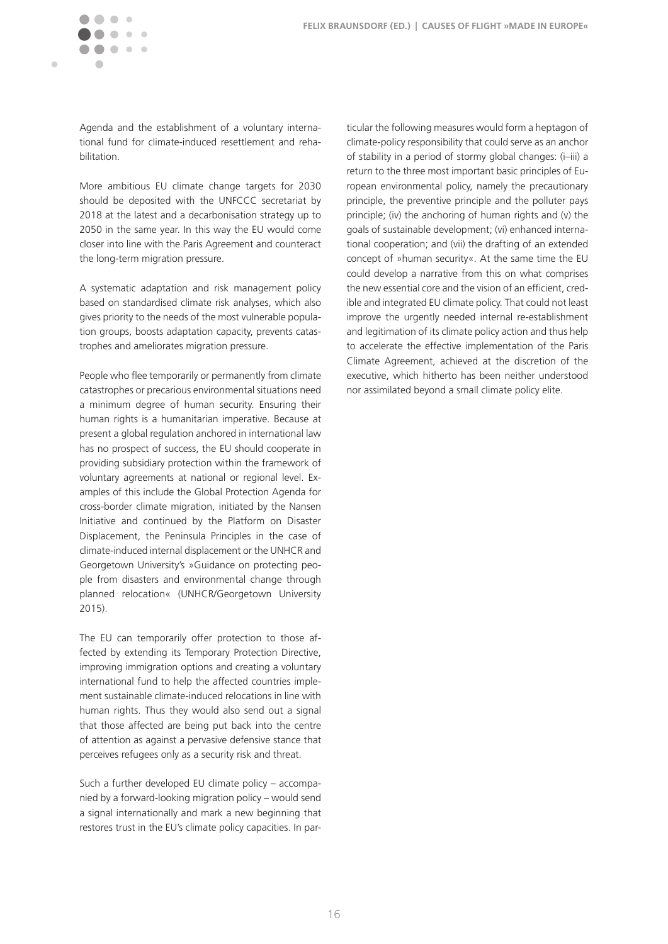$\blacksquare$ 

Agenda and the establishment of a voluntary international fund for climate-induced resettlement and rehabilitation.

More ambitious EU climate change targets for 2030 should be deposited with the UNFCCC secretariat by 2018 at the latest and a decarbonisation strategy up to 2050 in the same year. In this way the EU would come closer into line with the Paris Agreement and counteract the long-term migration pressure.

A systematic adaptation and risk management policy based on standardised climate risk analyses, which also gives priority to the needs of the most vulnerable population groups, boosts adaptation capacity, prevents catastrophes and ameliorates migration pressure.

People who flee temporarily or permanently from climate catastrophes or precarious environmental situations need a minimum degree of human security. Ensuring their human rights is a humanitarian imperative. Because at present a global regulation anchored in international law has no prospect of success, the EU should cooperate in providing subsidiary protection within the framework of voluntary agreements at national or regional level. Examples of this include the Global Protection Agenda for cross-border climate migration, initiated by the Nansen Initiative and continued by the Platform on Disaster Displacement, the Peninsula Principles in the case of climate-induced internal displacement or the UNHCR and Georgetown University's »Guidance on protecting people from disasters and environmental change through planned relocation« (UNHCR/Georgetown University 2015).

The EU can temporarily offer protection to those affected by extending its Temporary Protection Directive, improving immigration options and creating a voluntary international fund to help the affected countries implement sustainable climate-induced relocations in line with human rights. Thus they would also send out a signal that those affected are being put back into the centre of attention as against a pervasive defensive stance that perceives refugees only as a security risk and threat.

Such a further developed EU climate policy – accompanied by a forward-looking migration policy – would send a signal internationally and mark a new beginning that restores trust in the EU's climate policy capacities. In par-

ticular the following measures would form a heptagon of climate-policy responsibility that could serve as an anchor of stability in a period of stormy global changes: (i–iii) a return to the three most important basic principles of European environmental policy, namely the precautionary principle, the preventive principle and the polluter pays principle; (iv) the anchoring of human rights and (v) the goals of sustainable development; (vi) enhanced international cooperation; and (vii) the drafting of an extended concept of »human security«. At the same time the EU could develop a narrative from this on what comprises the new essential core and the vision of an efficient, credible and integrated EU climate policy. That could not least improve the urgently needed internal re-establishment and legitimation of its climate policy action and thus help to accelerate the effective implementation of the Paris Climate Agreement, achieved at the discretion of the executive, which hitherto has been neither understood nor assimilated beyond a small climate policy elite.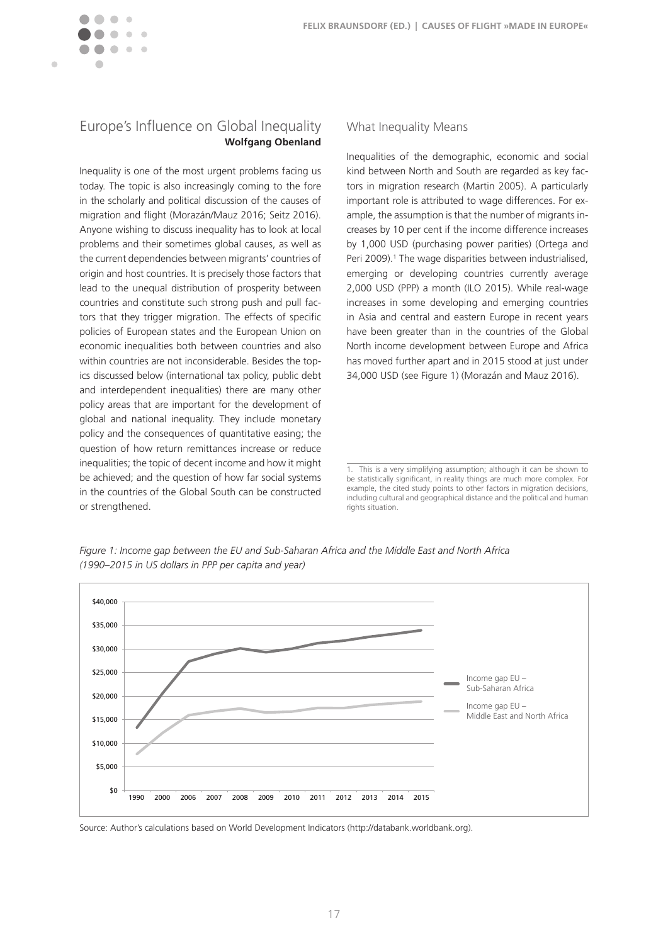<span id="page-17-0"></span>

## Europe's Influence on Global Inequality **Wolfgang Obenland**

Inequality is one of the most urgent problems facing us today. The topic is also increasingly coming to the fore in the scholarly and political discussion of the causes of migration and flight (Morazán/Mauz 2016; Seitz 2016). Anyone wishing to discuss inequality has to look at local problems and their sometimes global causes, as well as the current dependencies between migrants' countries of origin and host countries. It is precisely those factors that lead to the unequal distribution of prosperity between countries and constitute such strong push and pull factors that they trigger migration. The effects of specific policies of European states and the European Union on economic inequalities both between countries and also within countries are not inconsiderable. Besides the topics discussed below (international tax policy, public debt and interdependent inequalities) there are many other policy areas that are important for the development of global and national inequality. They include monetary policy and the consequences of quantitative easing; the question of how return remittances increase or reduce inequalities; the topic of decent income and how it might be achieved; and the question of how far social systems in the countries of the Global South can be constructed or strengthened.

#### What Inequality Means

Inequalities of the demographic, economic and social kind between North and South are regarded as key factors in migration research (Martin 2005). A particularly important role is attributed to wage differences. For example, the assumption is that the number of migrants increases by 10 per cent if the income difference increases by 1,000 USD (purchasing power parities) (Ortega and Peri 2009).<sup>1</sup> The wage disparities between industrialised, emerging or developing countries currently average 2,000 USD (PPP) a month (ILO 2015). While real-wage increases in some developing and emerging countries in Asia and central and eastern Europe in recent years have been greater than in the countries of the Global North income development between Europe and Africa has moved further apart and in 2015 stood at just under 34,000 USD (see Figure 1) (Morazán and Mauz 2016).

*Figure 1: Income gap between the EU and Sub-Saharan Africa and the Middle East and North Africa (1990–2015 in US dollars in PPP per capita and year)*



Source: Author's calculations based on World Development Indicators (<http://databank.worldbank.org>).

<sup>1.</sup> This is a very simplifying assumption; although it can be shown to be statistically significant, in reality things are much more complex. For example, the cited study points to other factors in migration decisions, including cultural and geographical distance and the political and human rights situation.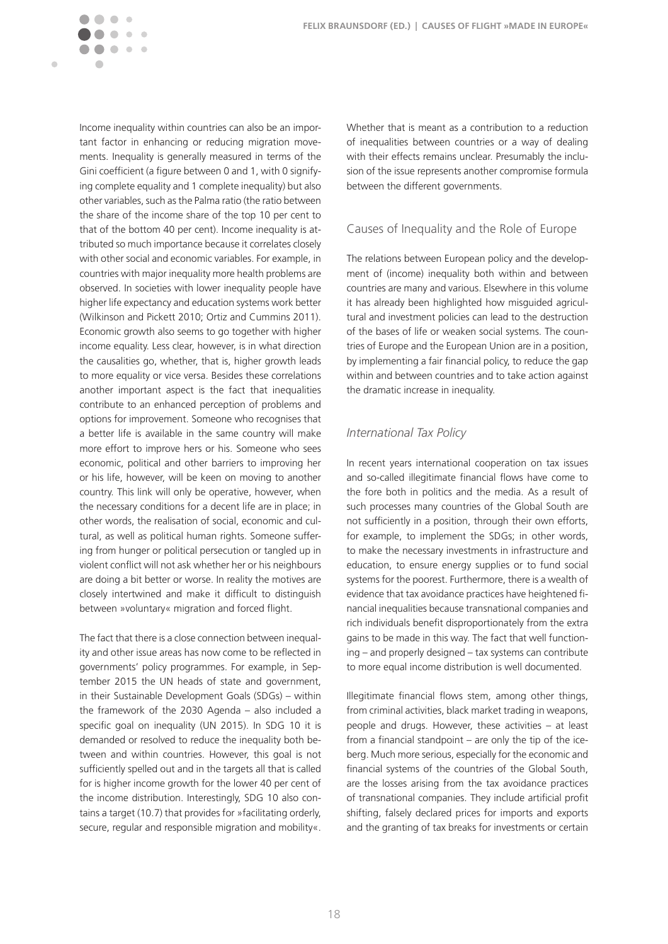tant factor in enhancing or reducing migration movements. Inequality is generally measured in terms of the Gini coefficient (a figure between 0 and 1, with 0 signifying complete equality and 1 complete inequality) but also other variables, such as the Palma ratio (the ratio between the share of the income share of the top 10 per cent to that of the bottom 40 per cent). Income inequality is attributed so much importance because it correlates closely with other social and economic variables. For example, in countries with major inequality more health problems are observed. In societies with lower inequality people have higher life expectancy and education systems work better (Wilkinson and Pickett 2010; Ortiz and Cummins 2011). Economic growth also seems to go together with higher income equality. Less clear, however, is in what direction the causalities go, whether, that is, higher growth leads to more equality or vice versa. Besides these correlations another important aspect is the fact that inequalities contribute to an enhanced perception of problems and options for improvement. Someone who recognises that a better life is available in the same country will make more effort to improve hers or his. Someone who sees economic, political and other barriers to improving her or his life, however, will be keen on moving to another country. This link will only be operative, however, when the necessary conditions for a decent life are in place; in other words, the realisation of social, economic and cultural, as well as political human rights. Someone suffering from hunger or political persecution or tangled up in violent conflict will not ask whether her or his neighbours are doing a bit better or worse. In reality the motives are closely intertwined and make it difficult to distinguish between »voluntary« migration and forced flight.

Income inequality within countries can also be an impor-

 $\sim$   $\sim$ 

 $\blacksquare$ 

The fact that there is a close connection between inequality and other issue areas has now come to be reflected in governments' policy programmes. For example, in September 2015 the UN heads of state and government, in their Sustainable Development Goals (SDGs) – within the framework of the 2030 Agenda – also included a specific goal on inequality (UN 2015). In SDG 10 it is demanded or resolved to reduce the inequality both between and within countries. However, this goal is not sufficiently spelled out and in the targets all that is called for is higher income growth for the lower 40 per cent of the income distribution. Interestingly, SDG 10 also contains a target (10.7) that provides for »facilitating orderly, secure, regular and responsible migration and mobility«. Whether that is meant as a contribution to a reduction of inequalities between countries or a way of dealing with their effects remains unclear. Presumably the inclusion of the issue represents another compromise formula between the different governments.

## Causes of Inequality and the Role of Europe

The relations between European policy and the development of (income) inequality both within and between countries are many and various. Elsewhere in this volume it has already been highlighted how misguided agricultural and investment policies can lead to the destruction of the bases of life or weaken social systems. The countries of Europe and the European Union are in a position, by implementing a fair financial policy, to reduce the gap within and between countries and to take action against the dramatic increase in inequality.

#### *International Tax Policy*

In recent years international cooperation on tax issues and so-called illegitimate financial flows have come to the fore both in politics and the media. As a result of such processes many countries of the Global South are not sufficiently in a position, through their own efforts, for example, to implement the SDGs; in other words, to make the necessary investments in infrastructure and education, to ensure energy supplies or to fund social systems for the poorest. Furthermore, there is a wealth of evidence that tax avoidance practices have heightened financial inequalities because transnational companies and rich individuals benefit disproportionately from the extra gains to be made in this way. The fact that well functioning – and properly designed – tax systems can contribute to more equal income distribution is well documented.

Illegitimate financial flows stem, among other things, from criminal activities, black market trading in weapons, people and drugs. However, these activities – at least from a financial standpoint – are only the tip of the iceberg. Much more serious, especially for the economic and financial systems of the countries of the Global South, are the losses arising from the tax avoidance practices of transnational companies. They include artificial profit shifting, falsely declared prices for imports and exports and the granting of tax breaks for investments or certain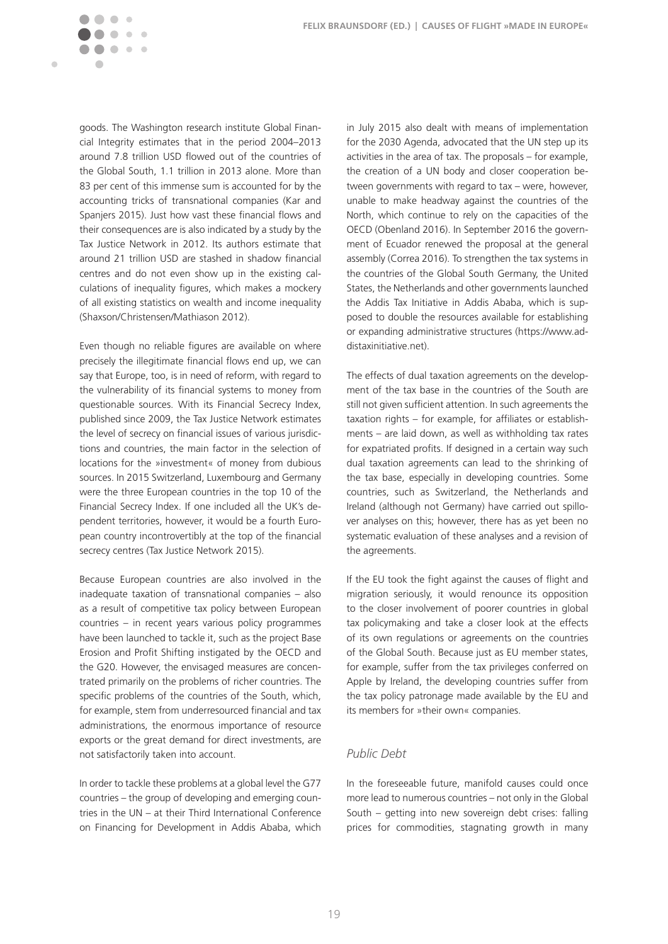goods. The Washington research institute Global Financial Integrity estimates that in the period 2004–2013 around 7.8 trillion USD flowed out of the countries of the Global South, 1.1 trillion in 2013 alone. More than 83 per cent of this immense sum is accounted for by the accounting tricks of transnational companies (Kar and Spanjers 2015). Just how vast these financial flows and their consequences are is also indicated by a study by the Tax Justice Network in 2012. Its authors estimate that around 21 trillion USD are stashed in shadow financial centres and do not even show up in the existing calculations of inequality figures, which makes a mockery of all existing statistics on wealth and income inequality (Shaxson/Christensen/Mathiason 2012).

 $\sim$  $\sim$   $\sim$ 

 $\blacksquare$ 

Even though no reliable figures are available on where precisely the illegitimate financial flows end up, we can say that Europe, too, is in need of reform, with regard to the vulnerability of its financial systems to money from questionable sources. With its Financial Secrecy Index, published since 2009, the Tax Justice Network estimates the level of secrecy on financial issues of various jurisdictions and countries, the main factor in the selection of locations for the »investment« of money from dubious sources. In 2015 Switzerland, Luxembourg and Germany were the three European countries in the top 10 of the Financial Secrecy Index. If one included all the UK's dependent territories, however, it would be a fourth European country incontrovertibly at the top of the financial secrecy centres (Tax Justice Network 2015).

Because European countries are also involved in the inadequate taxation of transnational companies – also as a result of competitive tax policy between European countries – in recent years various policy programmes have been launched to tackle it, such as the project Base Erosion and Profit Shifting instigated by the OECD and the G20. However, the envisaged measures are concentrated primarily on the problems of richer countries. The specific problems of the countries of the South, which, for example, stem from underresourced financial and tax administrations, the enormous importance of resource exports or the great demand for direct investments, are not satisfactorily taken into account.

In order to tackle these problems at a global level the G77 countries – the group of developing and emerging countries in the UN – at their Third International Conference on Financing for Development in Addis Ababa, which

in July 2015 also dealt with means of implementation for the 2030 Agenda, advocated that the UN step up its activities in the area of tax. The proposals – for example, the creation of a UN body and closer cooperation between governments with regard to tax – were, however, unable to make headway against the countries of the North, which continue to rely on the capacities of the OECD (Obenland 2016). In September 2016 the government of Ecuador renewed the proposal at the general assembly (Correa 2016). To strengthen the tax systems in the countries of the Global South Germany, the United States, the Netherlands and other governments launched the Addis Tax Initiative in Addis Ababa, which is supposed to double the resources available for establishing or expanding administrative structures ([https://www.ad](https://www.addistaxinitiative.net)[distaxinitiative.net\)](https://www.addistaxinitiative.net).

The effects of dual taxation agreements on the development of the tax base in the countries of the South are still not given sufficient attention. In such agreements the taxation rights – for example, for affiliates or establishments – are laid down, as well as withholding tax rates for expatriated profits. If designed in a certain way such dual taxation agreements can lead to the shrinking of the tax base, especially in developing countries. Some countries, such as Switzerland, the Netherlands and Ireland (although not Germany) have carried out spillover analyses on this; however, there has as yet been no systematic evaluation of these analyses and a revision of the agreements.

If the EU took the fight against the causes of flight and migration seriously, it would renounce its opposition to the closer involvement of poorer countries in global tax policymaking and take a closer look at the effects of its own regulations or agreements on the countries of the Global South. Because just as EU member states, for example, suffer from the tax privileges conferred on Apple by Ireland, the developing countries suffer from the tax policy patronage made available by the EU and its members for »their own« companies.

## *Public Debt*

In the foreseeable future, manifold causes could once more lead to numerous countries – not only in the Global South – getting into new sovereign debt crises: falling prices for commodities, stagnating growth in many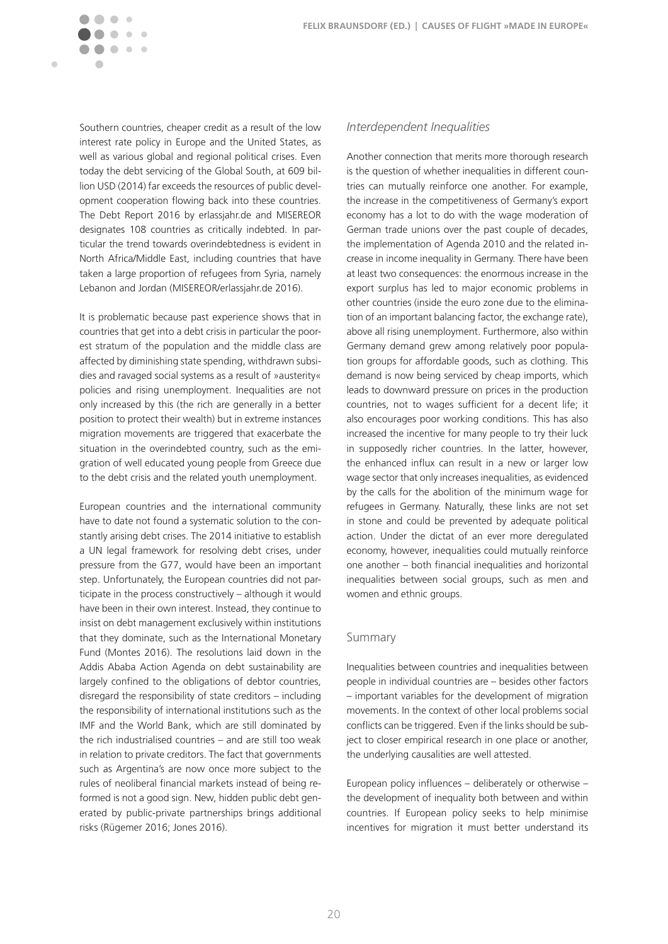Southern countries, cheaper credit as a result of the low interest rate policy in Europe and the United States, as well as various global and regional political crises. Even today the debt servicing of the Global South, at 609 billion USD (2014) far exceeds the resources of public development cooperation flowing back into these countries. The Debt Report 2016 by [erlassjahr.de](http://erlassjahr.de) and MISEREOR designates 108 countries as critically indebted. In particular the trend towards overindebtedness is evident in North Africa/Middle East, including countries that have taken a large proportion of refugees from Syria, namely Lebanon and Jordan (MISEREOR[/erlassjahr.de](http://erlassjahr.de) 2016).

 $\sim$   $\sim$ 

 $\blacksquare$ 

It is problematic because past experience shows that in countries that get into a debt crisis in particular the poorest stratum of the population and the middle class are affected by diminishing state spending, withdrawn subsidies and ravaged social systems as a result of »austerity« policies and rising unemployment. Inequalities are not only increased by this (the rich are generally in a better position to protect their wealth) but in extreme instances migration movements are triggered that exacerbate the situation in the overindebted country, such as the emigration of well educated young people from Greece due to the debt crisis and the related youth unemployment.

European countries and the international community have to date not found a systematic solution to the constantly arising debt crises. The 2014 initiative to establish a UN legal framework for resolving debt crises, under pressure from the G77, would have been an important step. Unfortunately, the European countries did not participate in the process constructively – although it would have been in their own interest. Instead, they continue to insist on debt management exclusively within institutions that they dominate, such as the International Monetary Fund (Montes 2016). The resolutions laid down in the Addis Ababa Action Agenda on debt sustainability are largely confined to the obligations of debtor countries, disregard the responsibility of state creditors – including the responsibility of international institutions such as the IMF and the World Bank, which are still dominated by the rich industrialised countries – and are still too weak in relation to private creditors. The fact that governments such as Argentina's are now once more subject to the rules of neoliberal financial markets instead of being reformed is not a good sign. New, hidden public debt generated by public-private partnerships brings additional risks (Rügemer 2016; Jones 2016).

#### *Interdependent Inequalities*

Another connection that merits more thorough research is the question of whether inequalities in different countries can mutually reinforce one another. For example, the increase in the competitiveness of Germany's export economy has a lot to do with the wage moderation of German trade unions over the past couple of decades, the implementation of Agenda 2010 and the related increase in income inequality in Germany. There have been at least two consequences: the enormous increase in the export surplus has led to major economic problems in other countries (inside the euro zone due to the elimination of an important balancing factor, the exchange rate), above all rising unemployment. Furthermore, also within Germany demand grew among relatively poor population groups for affordable goods, such as clothing. This demand is now being serviced by cheap imports, which leads to downward pressure on prices in the production countries, not to wages sufficient for a decent life; it also encourages poor working conditions. This has also increased the incentive for many people to try their luck in supposedly richer countries. In the latter, however, the enhanced influx can result in a new or larger low wage sector that only increases inequalities, as evidenced by the calls for the abolition of the minimum wage for refugees in Germany. Naturally, these links are not set in stone and could be prevented by adequate political action. Under the dictat of an ever more deregulated economy, however, inequalities could mutually reinforce one another – both financial inequalities and horizontal inequalities between social groups, such as men and women and ethnic groups.

#### Summary

Inequalities between countries and inequalities between people in individual countries are – besides other factors – important variables for the development of migration movements. In the context of other local problems social conflicts can be triggered. Even if the links should be subject to closer empirical research in one place or another, the underlying causalities are well attested.

European policy influences – deliberately or otherwise – the development of inequality both between and within countries. If European policy seeks to help minimise incentives for migration it must better understand its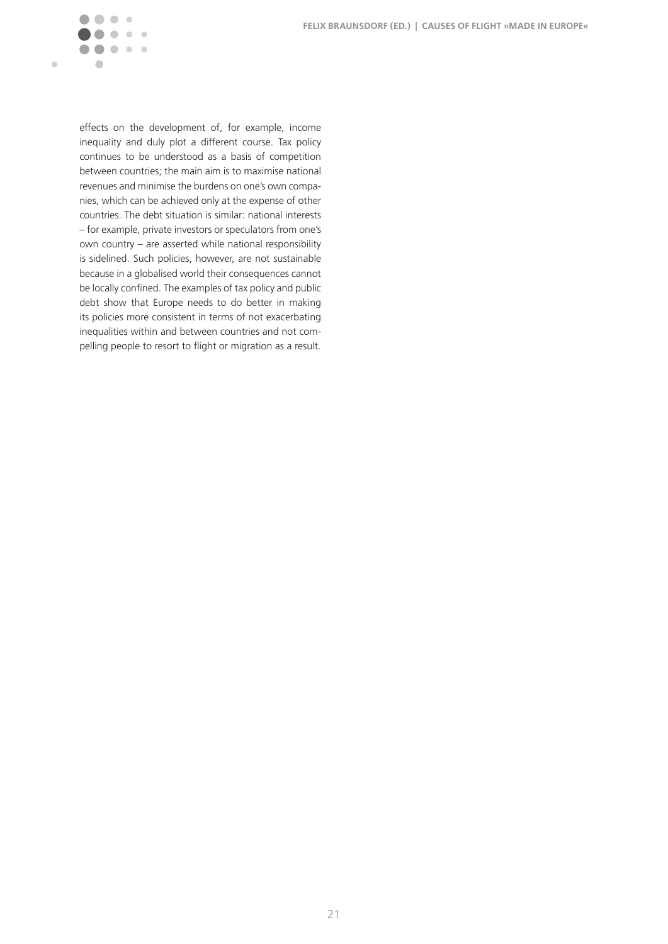**FELIX BRAUNSDORF (ED.) | CAUSES OF FLIGHT »MADE IN EUROPE«**



effects on the development of, for example, income inequality and duly plot a different course. Tax policy continues to be understood as a basis of competition between countries; the main aim is to maximise national revenues and minimise the burdens on one's own companies, which can be achieved only at the expense of other countries. The debt situation is similar: national interests – for example, private investors or speculators from one's own country – are asserted while national responsibility is sidelined. Such policies, however, are not sustainable because in a globalised world their consequences cannot be locally confined. The examples of tax policy and public debt show that Europe needs to do better in making its policies more consistent in terms of not exacerbating inequalities within and between countries and not compelling people to resort to flight or migration as a result.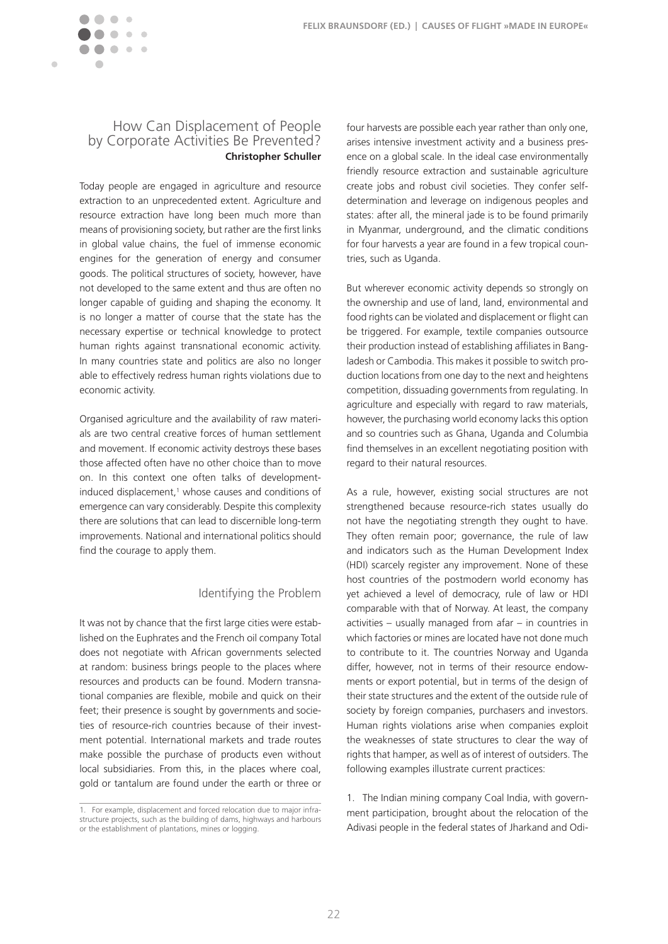

 $\mathbb{C}$  $\sim$ 

<span id="page-22-0"></span> $\blacksquare$ 

Today people are engaged in agriculture and resource extraction to an unprecedented extent. Agriculture and resource extraction have long been much more than means of provisioning society, but rather are the first links in global value chains, the fuel of immense economic engines for the generation of energy and consumer goods. The political structures of society, however, have not developed to the same extent and thus are often no longer capable of guiding and shaping the economy. It is no longer a matter of course that the state has the necessary expertise or technical knowledge to protect human rights against transnational economic activity. In many countries state and politics are also no longer able to effectively redress human rights violations due to economic activity.

Organised agriculture and the availability of raw materials are two central creative forces of human settlement and movement. If economic activity destroys these bases those affected often have no other choice than to move on. In this context one often talks of developmentinduced displacement,<sup>1</sup> whose causes and conditions of emergence can vary considerably. Despite this complexity there are solutions that can lead to discernible long-term improvements. National and international politics should find the courage to apply them.

#### Identifying the Problem

It was not by chance that the first large cities were established on the Euphrates and the French oil company Total does not negotiate with African governments selected at random: business brings people to the places where resources and products can be found. Modern transnational companies are flexible, mobile and quick on their feet; their presence is sought by governments and societies of resource-rich countries because of their investment potential. International markets and trade routes make possible the purchase of products even without local subsidiaries. From this, in the places where coal, gold or tantalum are found under the earth or three or

four harvests are possible each year rather than only one, arises intensive investment activity and a business presence on a global scale. In the ideal case environmentally friendly resource extraction and sustainable agriculture create jobs and robust civil societies. They confer selfdetermination and leverage on indigenous peoples and states: after all, the mineral jade is to be found primarily in Myanmar, underground, and the climatic conditions for four harvests a year are found in a few tropical countries, such as Uganda.

But wherever economic activity depends so strongly on the ownership and use of land, land, environmental and food rights can be violated and displacement or flight can be triggered. For example, textile companies outsource their production instead of establishing affiliates in Bangladesh or Cambodia. This makes it possible to switch production locations from one day to the next and heightens competition, dissuading governments from regulating. In agriculture and especially with regard to raw materials, however, the purchasing world economy lacks this option and so countries such as Ghana, Uganda and Columbia find themselves in an excellent negotiating position with regard to their natural resources.

As a rule, however, existing social structures are not strengthened because resource-rich states usually do not have the negotiating strength they ought to have. They often remain poor; governance, the rule of law and indicators such as the Human Development Index (HDI) scarcely register any improvement. None of these host countries of the postmodern world economy has yet achieved a level of democracy, rule of law or HDI comparable with that of Norway. At least, the company activities – usually managed from afar – in countries in which factories or mines are located have not done much to contribute to it. The countries Norway and Uganda differ, however, not in terms of their resource endowments or export potential, but in terms of the design of their state structures and the extent of the outside rule of society by foreign companies, purchasers and investors. Human rights violations arise when companies exploit the weaknesses of state structures to clear the way of rights that hamper, as well as of interest of outsiders. The following examples illustrate current practices:

<sup>1.</sup> For example, displacement and forced relocation due to major infrastructure projects, such as the building of dams, highways and harbours or the establishment of plantations, mines or logging.

<sup>1.</sup> The Indian mining company Coal India, with government participation, brought about the relocation of the Adivasi people in the federal states of Jharkand and Odi-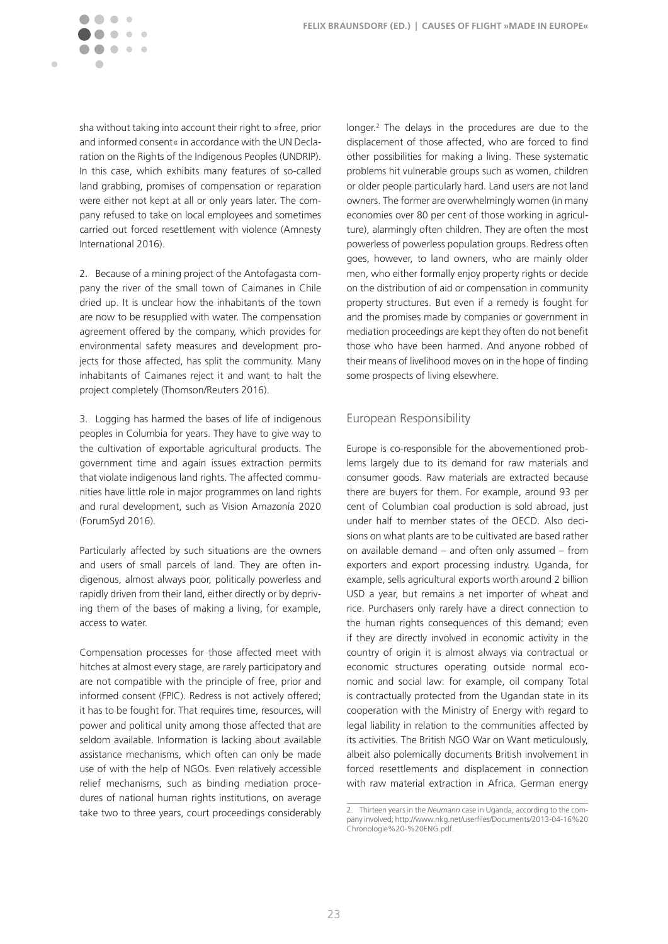

 $\alpha$ 

sha without taking into account their right to »free, prior and informed consent« in accordance with the UN Declaration on the Rights of the Indigenous Peoples (UNDRIP). In this case, which exhibits many features of so-called land grabbing, promises of compensation or reparation were either not kept at all or only years later. The company refused to take on local employees and sometimes carried out forced resettlement with violence (Amnesty International 2016).

2. Because of a mining project of the Antofagasta company the river of the small town of Caimanes in Chile dried up. It is unclear how the inhabitants of the town are now to be resupplied with water. The compensation agreement offered by the company, which provides for environmental safety measures and development projects for those affected, has split the community. Many inhabitants of Caimanes reject it and want to halt the project completely (Thomson/Reuters 2016).

3. Logging has harmed the bases of life of indigenous peoples in Columbia for years. They have to give way to the cultivation of exportable agricultural products. The government time and again issues extraction permits that violate indigenous land rights. The affected communities have little role in major programmes on land rights and rural development, such as Vision Amazonía 2020 (ForumSyd 2016).

Particularly affected by such situations are the owners and users of small parcels of land. They are often indigenous, almost always poor, politically powerless and rapidly driven from their land, either directly or by depriving them of the bases of making a living, for example, access to water.

Compensation processes for those affected meet with hitches at almost every stage, are rarely participatory and are not compatible with the principle of free, prior and informed consent (FPIC). Redress is not actively offered; it has to be fought for. That requires time, resources, will power and political unity among those affected that are seldom available. Information is lacking about available assistance mechanisms, which often can only be made use of with the help of NGOs. Even relatively accessible relief mechanisms, such as binding mediation procedures of national human rights institutions, on average take two to three years, court proceedings considerably

longer.<sup>2</sup> The delays in the procedures are due to the displacement of those affected, who are forced to find other possibilities for making a living. These systematic problems hit vulnerable groups such as women, children or older people particularly hard. Land users are not land owners. The former are overwhelmingly women (in many economies over 80 per cent of those working in agriculture), alarmingly often children. They are often the most powerless of powerless population groups. Redress often goes, however, to land owners, who are mainly older men, who either formally enjoy property rights or decide on the distribution of aid or compensation in community property structures. But even if a remedy is fought for and the promises made by companies or government in mediation proceedings are kept they often do not benefit those who have been harmed. And anyone robbed of their means of livelihood moves on in the hope of finding some prospects of living elsewhere.

#### European Responsibility

Europe is co-responsible for the abovementioned problems largely due to its demand for raw materials and consumer goods. Raw materials are extracted because there are buyers for them. For example, around 93 per cent of Columbian coal production is sold abroad, just under half to member states of the OECD. Also decisions on what plants are to be cultivated are based rather on available demand – and often only assumed – from exporters and export processing industry. Uganda, for example, sells agricultural exports worth around 2 billion USD a year, but remains a net importer of wheat and rice. Purchasers only rarely have a direct connection to the human rights consequences of this demand; even if they are directly involved in economic activity in the country of origin it is almost always via contractual or economic structures operating outside normal economic and social law: for example, oil company Total is contractually protected from the Ugandan state in its cooperation with the Ministry of Energy with regard to legal liability in relation to the communities affected by its activities. The British NGO War on Want meticulously, albeit also polemically documents British involvement in forced resettlements and displacement in connection with raw material extraction in Africa. German energy

<sup>2.</sup> Thirteen years in the *Neumann* case in Uganda, according to the company involved; [http://www.nkg.net/userfiles/Documents/2013-](http://www.nkg.net/userfiles/Documents/2013-04-16%20Chronologie%20-%20ENG.pdf)04-16%20 Chronologie%20-%[20ENG.pdf.](http://www.nkg.net/userfiles/Documents/2013-04-16%20Chronologie%20-%20ENG.pdf)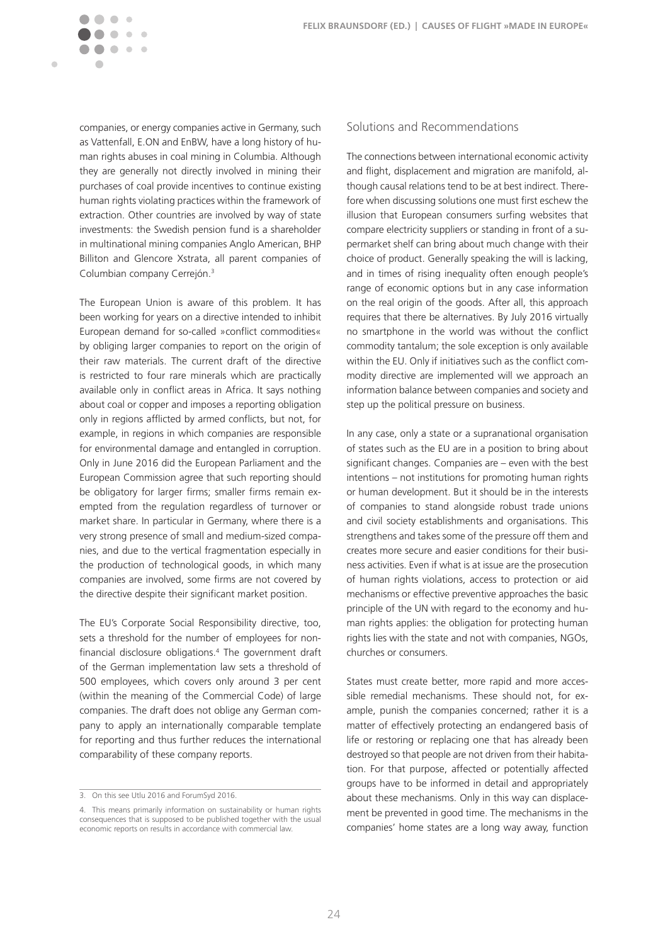companies, or energy companies active in Germany, such as Vattenfall, E.ON and EnBW, have a long history of human rights abuses in coal mining in Columbia. Although they are generally not directly involved in mining their purchases of coal provide incentives to continue existing human rights violating practices within the framework of extraction. Other countries are involved by way of state investments: the Swedish pension fund is a shareholder in multinational mining companies Anglo American, BHP Billiton and Glencore Xstrata, all parent companies of Columbian company Cerrejón.3

 $\blacksquare$ 

The European Union is aware of this problem. It has been working for years on a directive intended to inhibit European demand for so-called »conflict commodities« by obliging larger companies to report on the origin of their raw materials. The current draft of the directive is restricted to four rare minerals which are practically available only in conflict areas in Africa. It says nothing about coal or copper and imposes a reporting obligation only in regions afflicted by armed conflicts, but not, for example, in regions in which companies are responsible for environmental damage and entangled in corruption. Only in June 2016 did the European Parliament and the European Commission agree that such reporting should be obligatory for larger firms; smaller firms remain exempted from the regulation regardless of turnover or market share. In particular in Germany, where there is a very strong presence of small and medium-sized companies, and due to the vertical fragmentation especially in the production of technological goods, in which many companies are involved, some firms are not covered by the directive despite their significant market position.

The EU's Corporate Social Responsibility directive, too, sets a threshold for the number of employees for nonfinancial disclosure obligations.4 The government draft of the German implementation law sets a threshold of 500 employees, which covers only around 3 per cent (within the meaning of the Commercial Code) of large companies. The draft does not oblige any German company to apply an internationally comparable template for reporting and thus further reduces the international comparability of these company reports.

#### Solutions and Recommendations

The connections between international economic activity and flight, displacement and migration are manifold, although causal relations tend to be at best indirect. Therefore when discussing solutions one must first eschew the illusion that European consumers surfing websites that compare electricity suppliers or standing in front of a supermarket shelf can bring about much change with their choice of product. Generally speaking the will is lacking, and in times of rising inequality often enough people's range of economic options but in any case information on the real origin of the goods. After all, this approach requires that there be alternatives. By July 2016 virtually no smartphone in the world was without the conflict commodity tantalum; the sole exception is only available within the EU. Only if initiatives such as the conflict commodity directive are implemented will we approach an information balance between companies and society and step up the political pressure on business.

In any case, only a state or a supranational organisation of states such as the EU are in a position to bring about significant changes. Companies are – even with the best intentions – not institutions for promoting human rights or human development. But it should be in the interests of companies to stand alongside robust trade unions and civil society establishments and organisations. This strengthens and takes some of the pressure off them and creates more secure and easier conditions for their business activities. Even if what is at issue are the prosecution of human rights violations, access to protection or aid mechanisms or effective preventive approaches the basic principle of the UN with regard to the economy and human rights applies: the obligation for protecting human rights lies with the state and not with companies, NGOs, churches or consumers.

States must create better, more rapid and more accessible remedial mechanisms. These should not, for example, punish the companies concerned; rather it is a matter of effectively protecting an endangered basis of life or restoring or replacing one that has already been destroyed so that people are not driven from their habitation. For that purpose, affected or potentially affected groups have to be informed in detail and appropriately about these mechanisms. Only in this way can displacement be prevented in good time. The mechanisms in the companies' home states are a long way away, function

<sup>3.</sup> On this see Utlu 2016 and ForumSyd 2016.

<sup>4.</sup> This means primarily information on sustainability or human rights consequences that is supposed to be published together with the usual economic reports on results in accordance with commercial law.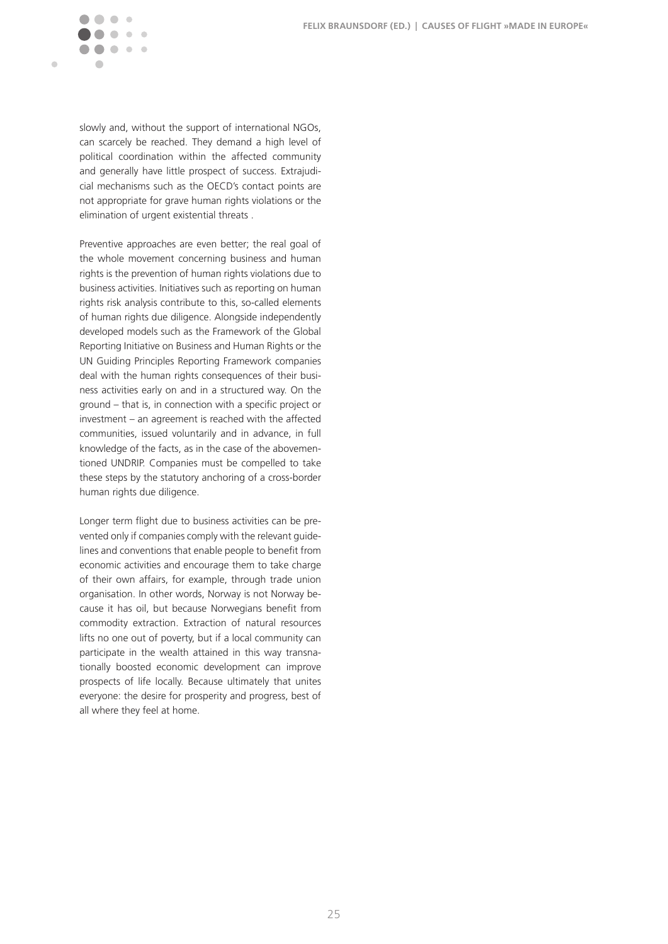

slowly and, without the support of international NGOs, can scarcely be reached. They demand a high level of political coordination within the affected community and generally have little prospect of success. Extrajudicial mechanisms such as the OECD's contact points are not appropriate for grave human rights violations or the elimination of urgent existential threats .

Preventive approaches are even better; the real goal of the whole movement concerning business and human rights is the prevention of human rights violations due to business activities. Initiatives such as reporting on human rights risk analysis contribute to this, so-called elements of human rights due diligence. Alongside independently developed models such as the Framework of the Global Reporting Initiative on Business and Human Rights or the UN Guiding Principles Reporting Framework companies deal with the human rights consequences of their business activities early on and in a structured way. On the ground – that is, in connection with a specific project or investment – an agreement is reached with the affected communities, issued voluntarily and in advance, in full knowledge of the facts, as in the case of the abovementioned UNDRIP. Companies must be compelled to take these steps by the statutory anchoring of a cross-border human rights due diligence.

Longer term flight due to business activities can be prevented only if companies comply with the relevant guidelines and conventions that enable people to benefit from economic activities and encourage them to take charge of their own affairs, for example, through trade union organisation. In other words, Norway is not Norway because it has oil, but because Norwegians benefit from commodity extraction. Extraction of natural resources lifts no one out of poverty, but if a local community can participate in the wealth attained in this way transnationally boosted economic development can improve prospects of life locally. Because ultimately that unites everyone: the desire for prosperity and progress, best of all where they feel at home.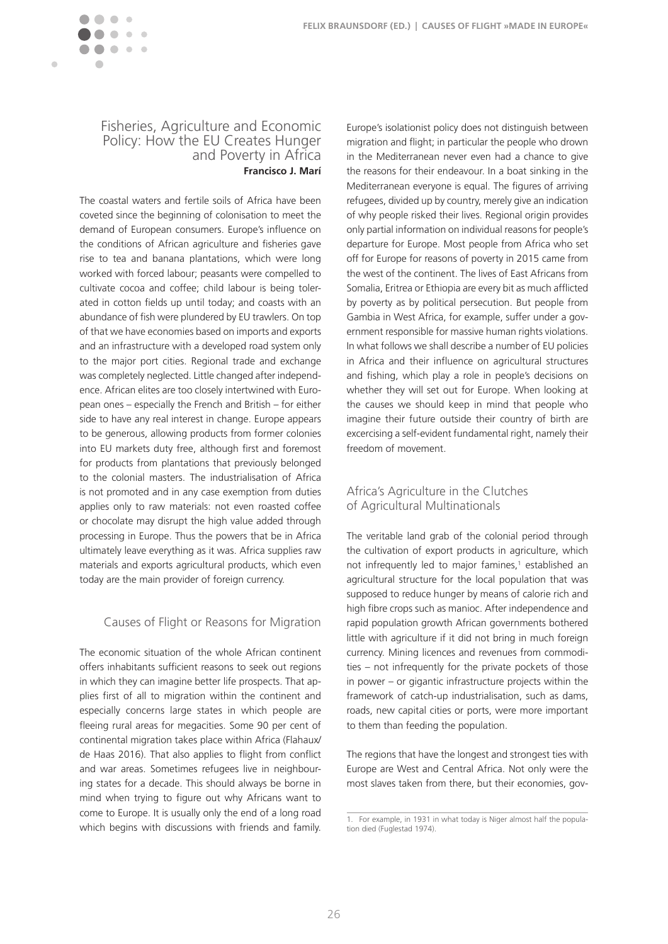<span id="page-26-0"></span>

### Fisheries, Agriculture and Economic Policy: How the EU Creates Hunger and Poverty in Africa **Francisco J. Marí**

The coastal waters and fertile soils of Africa have been coveted since the beginning of colonisation to meet the demand of European consumers. Europe's influence on the conditions of African agriculture and fisheries gave rise to tea and banana plantations, which were long worked with forced labour; peasants were compelled to cultivate cocoa and coffee; child labour is being tolerated in cotton fields up until today; and coasts with an abundance of fish were plundered by EU trawlers. On top of that we have economies based on imports and exports and an infrastructure with a developed road system only to the major port cities. Regional trade and exchange was completely neglected. Little changed after independence. African elites are too closely intertwined with European ones – especially the French and British – for either side to have any real interest in change. Europe appears to be generous, allowing products from former colonies into EU markets duty free, although first and foremost for products from plantations that previously belonged to the colonial masters. The industrialisation of Africa is not promoted and in any case exemption from duties applies only to raw materials: not even roasted coffee or chocolate may disrupt the high value added through processing in Europe. Thus the powers that be in Africa ultimately leave everything as it was. Africa supplies raw materials and exports agricultural products, which even today are the main provider of foreign currency.

### Causes of Flight or Reasons for Migration

The economic situation of the whole African continent offers inhabitants sufficient reasons to seek out regions in which they can imagine better life prospects. That applies first of all to migration within the continent and especially concerns large states in which people are fleeing rural areas for megacities. Some 90 per cent of continental migration takes place within Africa (Flahaux/ de Haas 2016). That also applies to flight from conflict and war areas. Sometimes refugees live in neighbouring states for a decade. This should always be borne in mind when trying to figure out why Africans want to come to Europe. It is usually only the end of a long road which begins with discussions with friends and family.

Europe's isolationist policy does not distinguish between migration and flight; in particular the people who drown in the Mediterranean never even had a chance to give the reasons for their endeavour. In a boat sinking in the Mediterranean everyone is equal. The figures of arriving refugees, divided up by country, merely give an indication of why people risked their lives. Regional origin provides only partial information on individual reasons for people's departure for Europe. Most people from Africa who set off for Europe for reasons of poverty in 2015 came from the west of the continent. The lives of East Africans from Somalia, Eritrea or Ethiopia are every bit as much afflicted by poverty as by political persecution. But people from Gambia in West Africa, for example, suffer under a government responsible for massive human rights violations. In what follows we shall describe a number of EU policies in Africa and their influence on agricultural structures and fishing, which play a role in people's decisions on whether they will set out for Europe. When looking at the causes we should keep in mind that people who imagine their future outside their country of birth are excercising a self-evident fundamental right, namely their freedom of movement.

#### Africa's Agriculture in the Clutches of Agricultural Multinationals

The veritable land grab of the colonial period through the cultivation of export products in agriculture, which not infrequently led to major famines,<sup>1</sup> established an agricultural structure for the local population that was supposed to reduce hunger by means of calorie rich and high fibre crops such as manioc. After independence and rapid population growth African governments bothered little with agriculture if it did not bring in much foreign currency. Mining licences and revenues from commodities – not infrequently for the private pockets of those in power – or gigantic infrastructure projects within the framework of catch-up industrialisation, such as dams, roads, new capital cities or ports, were more important to them than feeding the population.

The regions that have the longest and strongest ties with Europe are West and Central Africa. Not only were the most slaves taken from there, but their economies, gov-

<sup>1.</sup> For example, in 1931 in what today is Niger almost half the population died (Fuglestad 1974).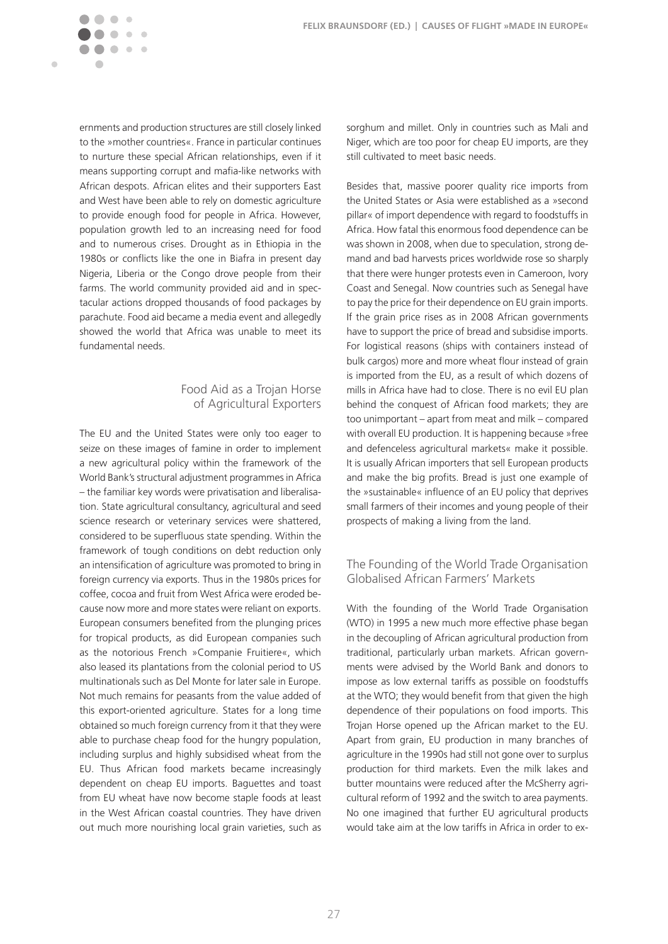ernments and production structures are still closely linked to the »mother countries«. France in particular continues to nurture these special African relationships, even if it means supporting corrupt and mafia-like networks with African despots. African elites and their supporters East and West have been able to rely on domestic agriculture to provide enough food for people in Africa. However, population growth led to an increasing need for food and to numerous crises. Drought as in Ethiopia in the 1980s or conflicts like the one in Biafra in present day Nigeria, Liberia or the Congo drove people from their farms. The world community provided aid and in spectacular actions dropped thousands of food packages by parachute. Food aid became a media event and allegedly showed the world that Africa was unable to meet its fundamental needs.

 $\sim$ 

Ċ

### Food Aid as a Trojan Horse of Agricultural Exporters

The EU and the United States were only too eager to seize on these images of famine in order to implement a new agricultural policy within the framework of the World Bank's structural adjustment programmes in Africa – the familiar key words were privatisation and liberalisation. State agricultural consultancy, agricultural and seed science research or veterinary services were shattered, considered to be superfluous state spending. Within the framework of tough conditions on debt reduction only an intensification of agriculture was promoted to bring in foreign currency via exports. Thus in the 1980s prices for coffee, cocoa and fruit from West Africa were eroded because now more and more states were reliant on exports. European consumers benefited from the plunging prices for tropical products, as did European companies such as the notorious French »Companie Fruitiere«, which also leased its plantations from the colonial period to US multinationals such as Del Monte for later sale in Europe. Not much remains for peasants from the value added of this export-oriented agriculture. States for a long time obtained so much foreign currency from it that they were able to purchase cheap food for the hungry population, including surplus and highly subsidised wheat from the EU. Thus African food markets became increasingly dependent on cheap EU imports. Baguettes and toast from EU wheat have now become staple foods at least in the West African coastal countries. They have driven out much more nourishing local grain varieties, such as sorghum and millet. Only in countries such as Mali and Niger, which are too poor for cheap EU imports, are they still cultivated to meet basic needs.

Besides that, massive poorer quality rice imports from the United States or Asia were established as a »second pillar« of import dependence with regard to foodstuffs in Africa. How fatal this enormous food dependence can be was shown in 2008, when due to speculation, strong demand and bad harvests prices worldwide rose so sharply that there were hunger protests even in Cameroon, Ivory Coast and Senegal. Now countries such as Senegal have to pay the price for their dependence on EU grain imports. If the grain price rises as in 2008 African governments have to support the price of bread and subsidise imports. For logistical reasons (ships with containers instead of bulk cargos) more and more wheat flour instead of grain is imported from the EU, as a result of which dozens of mills in Africa have had to close. There is no evil EU plan behind the conquest of African food markets; they are too unimportant – apart from meat and milk – compared with overall EU production. It is happening because »free and defenceless agricultural markets« make it possible. It is usually African importers that sell European products and make the big profits. Bread is just one example of the »sustainable« influence of an EU policy that deprives small farmers of their incomes and young people of their prospects of making a living from the land.

### The Founding of the World Trade Organisation Globalised African Farmers' Markets

With the founding of the World Trade Organisation (WTO) in 1995 a new much more effective phase began in the decoupling of African agricultural production from traditional, particularly urban markets. African governments were advised by the World Bank and donors to impose as low external tariffs as possible on foodstuffs at the WTO; they would benefit from that given the high dependence of their populations on food imports. This Trojan Horse opened up the African market to the EU. Apart from grain, EU production in many branches of agriculture in the 1990s had still not gone over to surplus production for third markets. Even the milk lakes and butter mountains were reduced after the McSherry agricultural reform of 1992 and the switch to area payments. No one imagined that further EU agricultural products would take aim at the low tariffs in Africa in order to ex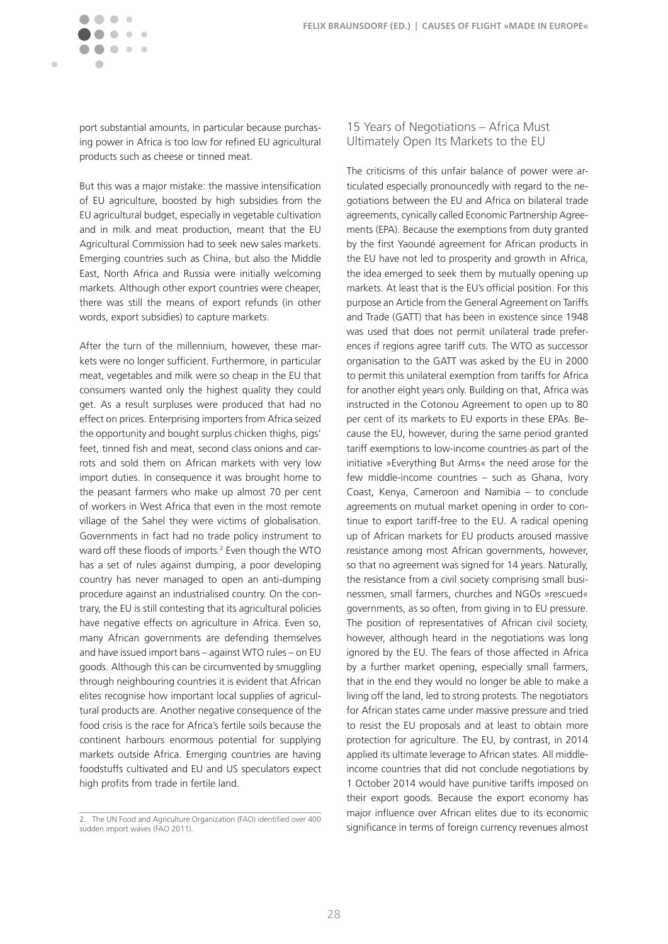port substantial amounts, in particular because purchasing power in Africa is too low for refined EU agricultural products such as cheese or tinned meat.

 $\mathcal{C}$ 

 $\sim$  $\sim$   $\sim$ 

 $\blacksquare$ 

But this was a major mistake: the massive intensification of EU agriculture, boosted by high subsidies from the EU agricultural budget, especially in vegetable cultivation and in milk and meat production, meant that the EU Agricultural Commission had to seek new sales markets. Emerging countries such as China, but also the Middle East, North Africa and Russia were initially welcoming markets. Although other export countries were cheaper, there was still the means of export refunds (in other words, export subsidies) to capture markets.

After the turn of the millennium, however, these markets were no longer sufficient. Furthermore, in particular meat, vegetables and milk were so cheap in the EU that consumers wanted only the highest quality they could get. As a result surpluses were produced that had no effect on prices. Enterprising importers from Africa seized the opportunity and bought surplus chicken thighs, pigs' feet, tinned fish and meat, second class onions and carrots and sold them on African markets with very low import duties. In consequence it was brought home to the peasant farmers who make up almost 70 per cent of workers in West Africa that even in the most remote village of the Sahel they were victims of globalisation. Governments in fact had no trade policy instrument to ward off these floods of imports.<sup>2</sup> Even though the WTO has a set of rules against dumping, a poor developing country has never managed to open an anti-dumping procedure against an industrialised country. On the contrary, the EU is still contesting that its agricultural policies have negative effects on agriculture in Africa. Even so, many African governments are defending themselves and have issued import bans – against WTO rules – on EU goods. Although this can be circumvented by smuggling through neighbouring countries it is evident that African elites recognise how important local supplies of agricultural products are. Another negative consequence of the food crisis is the race for Africa's fertile soils because the continent harbours enormous potential for supplying markets outside Africa. Emerging countries are having foodstuffs cultivated and EU and US speculators expect high profits from trade in fertile land.

### 15 Years of Negotiations – Africa Must Ultimately Open Its Markets to the EU

The criticisms of this unfair balance of power were articulated especially pronouncedly with regard to the negotiations between the EU and Africa on bilateral trade agreements, cynically called Economic Partnership Agreements (EPA). Because the exemptions from duty granted by the first Yaoundé agreement for African products in the EU have not led to prosperity and growth in Africa, the idea emerged to seek them by mutually opening up markets. At least that is the EU's official position. For this purpose an Article from the General Agreement on Tariffs and Trade (GATT) that has been in existence since 1948 was used that does not permit unilateral trade preferences if regions agree tariff cuts. The WTO as successor organisation to the GATT was asked by the EU in 2000 to permit this unilateral exemption from tariffs for Africa for another eight years only. Building on that, Africa was instructed in the Cotonou Agreement to open up to 80 per cent of its markets to EU exports in these EPAs. Because the EU, however, during the same period granted tariff exemptions to low-income countries as part of the initiative »Everything But Arms« the need arose for the few middle-income countries – such as Ghana, Ivory Coast, Kenya, Cameroon and Namibia – to conclude agreements on mutual market opening in order to continue to export tariff-free to the EU. A radical opening up of African markets for EU products aroused massive resistance among most African governments, however, so that no agreement was signed for 14 years. Naturally, the resistance from a civil society comprising small businessmen, small farmers, churches and NGOs »rescued« governments, as so often, from giving in to EU pressure. The position of representatives of African civil society, however, although heard in the negotiations was long ignored by the EU. The fears of those affected in Africa by a further market opening, especially small farmers, that in the end they would no longer be able to make a living off the land, led to strong protests. The negotiators for African states came under massive pressure and tried to resist the EU proposals and at least to obtain more protection for agriculture. The EU, by contrast, in 2014 applied its ultimate leverage to African states. All middleincome countries that did not conclude negotiations by 1 October 2014 would have punitive tariffs imposed on their export goods. Because the export economy has major influence over African elites due to its economic significance in terms of foreign currency revenues almost

<sup>2.</sup> The UN Food and Agriculture Organization (FAO) identified over 400 sudden import waves (FAO 2011).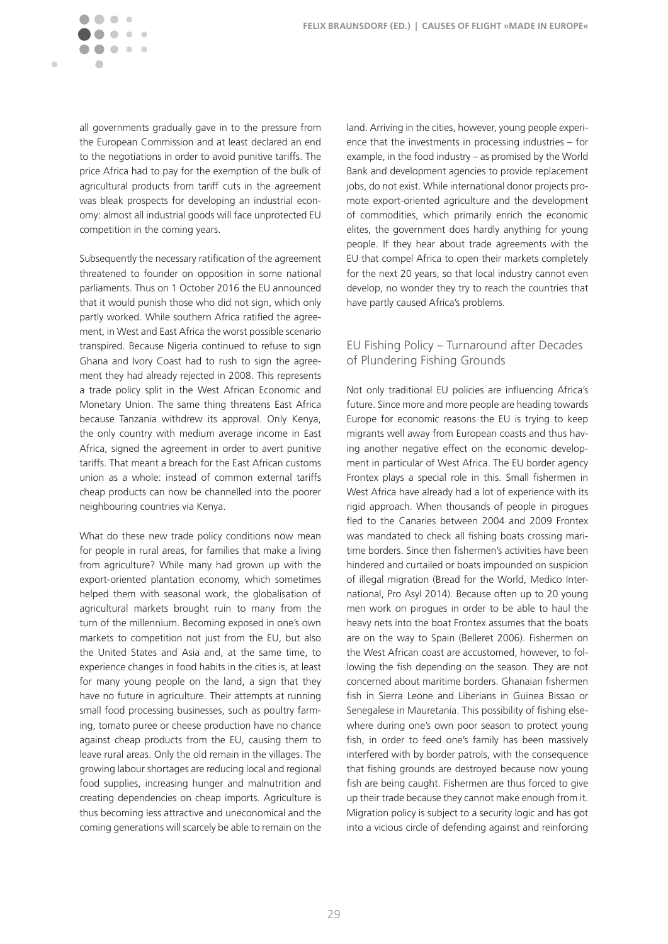$\sim$   $\sim$ 

Ċ

all governments gradually gave in to the pressure from the European Commission and at least declared an end to the negotiations in order to avoid punitive tariffs. The price Africa had to pay for the exemption of the bulk of agricultural products from tariff cuts in the agreement was bleak prospects for developing an industrial economy: almost all industrial goods will face unprotected EU competition in the coming years.

Subsequently the necessary ratification of the agreement threatened to founder on opposition in some national parliaments. Thus on 1 October 2016 the EU announced that it would punish those who did not sign, which only partly worked. While southern Africa ratified the agreement, in West and East Africa the worst possible scenario transpired. Because Nigeria continued to refuse to sign Ghana and Ivory Coast had to rush to sign the agreement they had already rejected in 2008. This represents a trade policy split in the West African Economic and Monetary Union. The same thing threatens East Africa because Tanzania withdrew its approval. Only Kenya, the only country with medium average income in East Africa, signed the agreement in order to avert punitive tariffs. That meant a breach for the East African customs union as a whole: instead of common external tariffs cheap products can now be channelled into the poorer neighbouring countries via Kenya.

What do these new trade policy conditions now mean for people in rural areas, for families that make a living from agriculture? While many had grown up with the export-oriented plantation economy, which sometimes helped them with seasonal work, the globalisation of agricultural markets brought ruin to many from the turn of the millennium. Becoming exposed in one's own markets to competition not just from the EU, but also the United States and Asia and, at the same time, to experience changes in food habits in the cities is, at least for many young people on the land, a sign that they have no future in agriculture. Their attempts at running small food processing businesses, such as poultry farming, tomato puree or cheese production have no chance against cheap products from the EU, causing them to leave rural areas. Only the old remain in the villages. The growing labour shortages are reducing local and regional food supplies, increasing hunger and malnutrition and creating dependencies on cheap imports. Agriculture is thus becoming less attractive and uneconomical and the coming generations will scarcely be able to remain on the land. Arriving in the cities, however, young people experience that the investments in processing industries – for example, in the food industry – as promised by the World Bank and development agencies to provide replacement jobs, do not exist. While international donor projects promote export-oriented agriculture and the development of commodities, which primarily enrich the economic elites, the government does hardly anything for young people. If they hear about trade agreements with the EU that compel Africa to open their markets completely for the next 20 years, so that local industry cannot even develop, no wonder they try to reach the countries that have partly caused Africa's problems.

### EU Fishing Policy – Turnaround after Decades of Plundering Fishing Grounds

Not only traditional EU policies are influencing Africa's future. Since more and more people are heading towards Europe for economic reasons the EU is trying to keep migrants well away from European coasts and thus having another negative effect on the economic development in particular of West Africa. The EU border agency Frontex plays a special role in this. Small fishermen in West Africa have already had a lot of experience with its rigid approach. When thousands of people in pirogues fled to the Canaries between 2004 and 2009 Frontex was mandated to check all fishing boats crossing maritime borders. Since then fishermen's activities have been hindered and curtailed or boats impounded on suspicion of illegal migration (Bread for the World, Medico International, Pro Asyl 2014). Because often up to 20 young men work on pirogues in order to be able to haul the heavy nets into the boat Frontex assumes that the boats are on the way to Spain (Belleret 2006). Fishermen on the West African coast are accustomed, however, to following the fish depending on the season. They are not concerned about maritime borders. Ghanaian fishermen fish in Sierra Leone and Liberians in Guinea Bissao or Senegalese in Mauretania. This possibility of fishing elsewhere during one's own poor season to protect young fish, in order to feed one's family has been massively interfered with by border patrols, with the consequence that fishing grounds are destroyed because now young fish are being caught. Fishermen are thus forced to give up their trade because they cannot make enough from it. Migration policy is subject to a security logic and has got into a vicious circle of defending against and reinforcing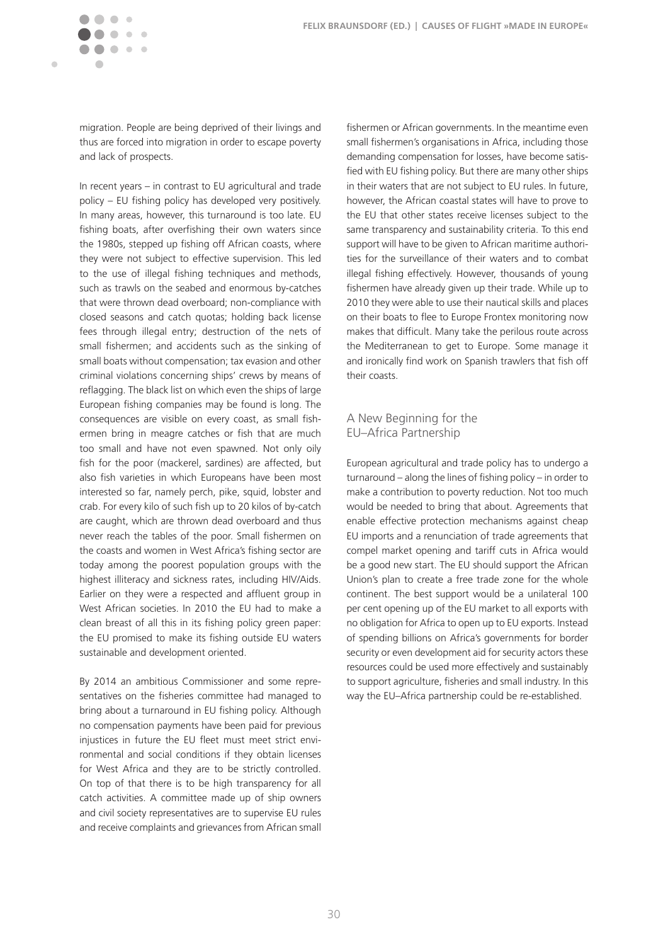migration. People are being deprived of their livings and thus are forced into migration in order to escape poverty and lack of prospects.

 $\sim$   $\sim$ 

 $\blacksquare$ 

In recent years – in contrast to EU agricultural and trade policy – EU fishing policy has developed very positively. In many areas, however, this turnaround is too late. EU fishing boats, after overfishing their own waters since the 1980s, stepped up fishing off African coasts, where they were not subject to effective supervision. This led to the use of illegal fishing techniques and methods, such as trawls on the seabed and enormous by-catches that were thrown dead overboard; non-compliance with closed seasons and catch quotas; holding back license fees through illegal entry; destruction of the nets of small fishermen; and accidents such as the sinking of small boats without compensation; tax evasion and other criminal violations concerning ships' crews by means of reflagging. The black list on which even the ships of large European fishing companies may be found is long. The consequences are visible on every coast, as small fishermen bring in meagre catches or fish that are much too small and have not even spawned. Not only oily fish for the poor (mackerel, sardines) are affected, but also fish varieties in which Europeans have been most interested so far, namely perch, pike, squid, lobster and crab. For every kilo of such fish up to 20 kilos of by-catch are caught, which are thrown dead overboard and thus never reach the tables of the poor. Small fishermen on the coasts and women in West Africa's fishing sector are today among the poorest population groups with the highest illiteracy and sickness rates, including HIV/Aids. Earlier on they were a respected and affluent group in West African societies. In 2010 the FU had to make a clean breast of all this in its fishing policy green paper: the EU promised to make its fishing outside EU waters sustainable and development oriented.

By 2014 an ambitious Commissioner and some representatives on the fisheries committee had managed to bring about a turnaround in EU fishing policy. Although no compensation payments have been paid for previous injustices in future the EU fleet must meet strict environmental and social conditions if they obtain licenses for West Africa and they are to be strictly controlled. On top of that there is to be high transparency for all catch activities. A committee made up of ship owners and civil society representatives are to supervise EU rules and receive complaints and grievances from African small

fishermen or African governments. In the meantime even small fishermen's organisations in Africa, including those demanding compensation for losses, have become satisfied with EU fishing policy. But there are many other ships in their waters that are not subject to EU rules. In future, however, the African coastal states will have to prove to the EU that other states receive licenses subject to the same transparency and sustainability criteria. To this end support will have to be given to African maritime authorities for the surveillance of their waters and to combat illegal fishing effectively. However, thousands of young fishermen have already given up their trade. While up to 2010 they were able to use their nautical skills and places on their boats to flee to Europe Frontex monitoring now makes that difficult. Many take the perilous route across the Mediterranean to get to Europe. Some manage it and ironically find work on Spanish trawlers that fish off their coasts.

### A New Beginning for the EU–Africa Partnership

European agricultural and trade policy has to undergo a turnaround – along the lines of fishing policy – in order to make a contribution to poverty reduction. Not too much would be needed to bring that about. Agreements that enable effective protection mechanisms against cheap EU imports and a renunciation of trade agreements that compel market opening and tariff cuts in Africa would be a good new start. The EU should support the African Union's plan to create a free trade zone for the whole continent. The best support would be a unilateral 100 per cent opening up of the EU market to all exports with no obligation for Africa to open up to EU exports. Instead of spending billions on Africa's governments for border security or even development aid for security actors these resources could be used more effectively and sustainably to support agriculture, fisheries and small industry. In this way the EU–Africa partnership could be re-established.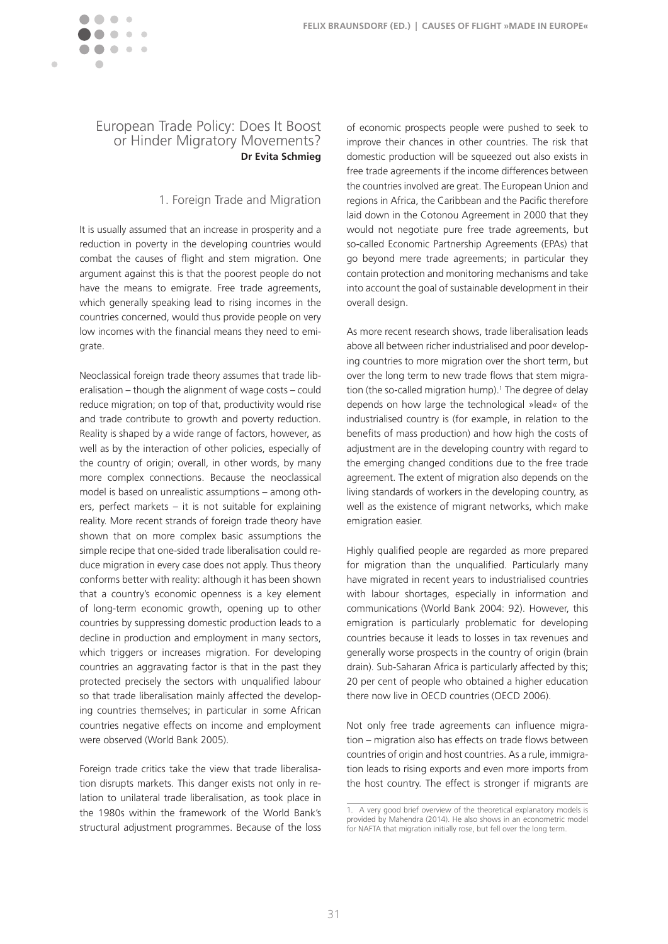<span id="page-31-0"></span>

## European Trade Policy: Does It Boost or Hinder Migratory Movements? **Dr Evita Schmieg**

### 1. Foreign Trade and Migration

It is usually assumed that an increase in prosperity and a reduction in poverty in the developing countries would combat the causes of flight and stem migration. One argument against this is that the poorest people do not have the means to emigrate. Free trade agreements, which generally speaking lead to rising incomes in the countries concerned, would thus provide people on very low incomes with the financial means they need to emigrate.

Neoclassical foreign trade theory assumes that trade liberalisation – though the alignment of wage costs – could reduce migration; on top of that, productivity would rise and trade contribute to growth and poverty reduction. Reality is shaped by a wide range of factors, however, as well as by the interaction of other policies, especially of the country of origin; overall, in other words, by many more complex connections. Because the neoclassical model is based on unrealistic assumptions – among others, perfect markets – it is not suitable for explaining reality. More recent strands of foreign trade theory have shown that on more complex basic assumptions the simple recipe that one-sided trade liberalisation could reduce migration in every case does not apply. Thus theory conforms better with reality: although it has been shown that a country's economic openness is a key element of long-term economic growth, opening up to other countries by suppressing domestic production leads to a decline in production and employment in many sectors, which triggers or increases migration. For developing countries an aggravating factor is that in the past they protected precisely the sectors with unqualified labour so that trade liberalisation mainly affected the developing countries themselves; in particular in some African countries negative effects on income and employment were observed (World Bank 2005).

Foreign trade critics take the view that trade liberalisation disrupts markets. This danger exists not only in relation to unilateral trade liberalisation, as took place in the 1980s within the framework of the World Bank's structural adjustment programmes. Because of the loss

of economic prospects people were pushed to seek to improve their chances in other countries. The risk that domestic production will be squeezed out also exists in free trade agreements if the income differences between the countries involved are great. The European Union and regions in Africa, the Caribbean and the Pacific therefore laid down in the Cotonou Agreement in 2000 that they would not negotiate pure free trade agreements, but so-called Economic Partnership Agreements (EPAs) that go beyond mere trade agreements; in particular they contain protection and monitoring mechanisms and take into account the goal of sustainable development in their overall design.

As more recent research shows, trade liberalisation leads above all between richer industrialised and poor developing countries to more migration over the short term, but over the long term to new trade flows that stem migration (the so-called migration hump).<sup>1</sup> The degree of delay depends on how large the technological »lead« of the industrialised country is (for example, in relation to the benefits of mass production) and how high the costs of adjustment are in the developing country with regard to the emerging changed conditions due to the free trade agreement. The extent of migration also depends on the living standards of workers in the developing country, as well as the existence of migrant networks, which make emigration easier.

Highly qualified people are regarded as more prepared for migration than the unqualified. Particularly many have migrated in recent years to industrialised countries with labour shortages, especially in information and communications (World Bank 2004: 92). However, this emigration is particularly problematic for developing countries because it leads to losses in tax revenues and generally worse prospects in the country of origin (brain drain). Sub-Saharan Africa is particularly affected by this; 20 per cent of people who obtained a higher education there now live in OECD countries (OECD 2006).

Not only free trade agreements can influence migration – migration also has effects on trade flows between countries of origin and host countries. As a rule, immigration leads to rising exports and even more imports from the host country. The effect is stronger if migrants are

<sup>1.</sup> A very good brief overview of the theoretical explanatory models is provided by Mahendra (2014). He also shows in an econometric model for NAFTA that migration initially rose, but fell over the long term.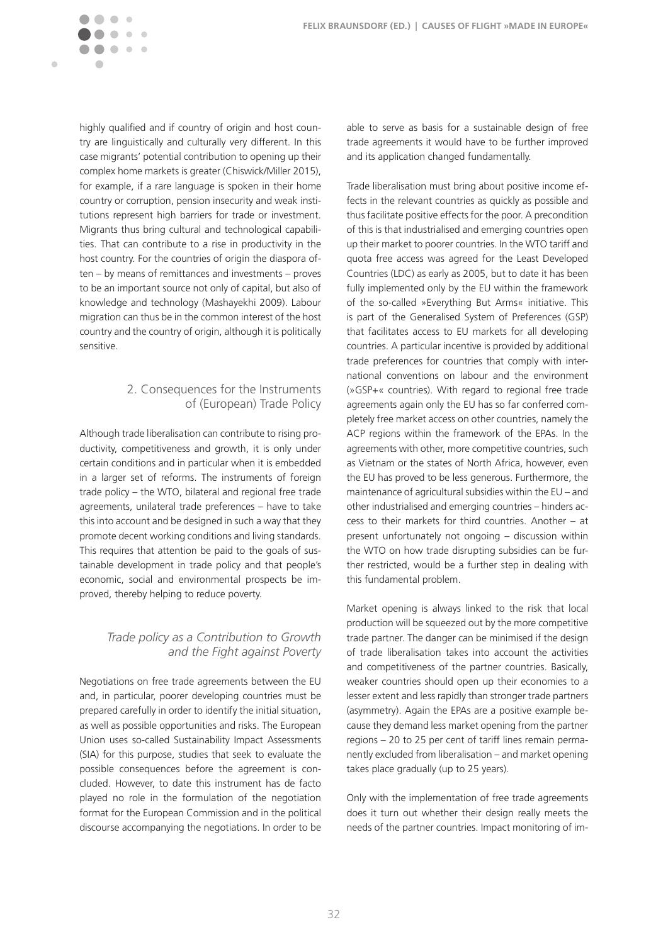highly qualified and if country of origin and host country are linguistically and culturally very different. In this case migrants' potential contribution to opening up their complex home markets is greater (Chiswick/Miller 2015), for example, if a rare language is spoken in their home country or corruption, pension insecurity and weak institutions represent high barriers for trade or investment. Migrants thus bring cultural and technological capabilities. That can contribute to a rise in productivity in the host country. For the countries of origin the diaspora often – by means of remittances and investments – proves to be an important source not only of capital, but also of knowledge and technology (Mashayekhi 2009). Labour migration can thus be in the common interest of the host country and the country of origin, although it is politically sensitive.

 $\sim$   $\sim$ 

 $\blacksquare$ 

## 2. Consequences for the Instruments of (European) Trade Policy

Although trade liberalisation can contribute to rising productivity, competitiveness and growth, it is only under certain conditions and in particular when it is embedded in a larger set of reforms. The instruments of foreign trade policy – the WTO, bilateral and regional free trade agreements, unilateral trade preferences – have to take this into account and be designed in such a way that they promote decent working conditions and living standards. This requires that attention be paid to the goals of sustainable development in trade policy and that people's economic, social and environmental prospects be improved, thereby helping to reduce poverty.

### *Trade policy as a Contribution to Growth and the Fight against Poverty*

Negotiations on free trade agreements between the EU and, in particular, poorer developing countries must be prepared carefully in order to identify the initial situation, as well as possible opportunities and risks. The European Union uses so-called Sustainability Impact Assessments (SIA) for this purpose, studies that seek to evaluate the possible consequences before the agreement is concluded. However, to date this instrument has de facto played no role in the formulation of the negotiation format for the European Commission and in the political discourse accompanying the negotiations. In order to be able to serve as basis for a sustainable design of free trade agreements it would have to be further improved and its application changed fundamentally.

Trade liberalisation must bring about positive income effects in the relevant countries as quickly as possible and thus facilitate positive effects for the poor. A precondition of this is that industrialised and emerging countries open up their market to poorer countries. In the WTO tariff and quota free access was agreed for the Least Developed Countries (LDC) as early as 2005, but to date it has been fully implemented only by the EU within the framework of the so-called »Everything But Arms« initiative. This is part of the Generalised System of Preferences (GSP) that facilitates access to EU markets for all developing countries. A particular incentive is provided by additional trade preferences for countries that comply with international conventions on labour and the environment (»GSP+« countries). With regard to regional free trade agreements again only the EU has so far conferred completely free market access on other countries, namely the ACP regions within the framework of the EPAs. In the agreements with other, more competitive countries, such as Vietnam or the states of North Africa, however, even the EU has proved to be less generous. Furthermore, the maintenance of agricultural subsidies within the EU – and other industrialised and emerging countries – hinders access to their markets for third countries. Another – at present unfortunately not ongoing – discussion within the WTO on how trade disrupting subsidies can be further restricted, would be a further step in dealing with this fundamental problem.

Market opening is always linked to the risk that local production will be squeezed out by the more competitive trade partner. The danger can be minimised if the design of trade liberalisation takes into account the activities and competitiveness of the partner countries. Basically, weaker countries should open up their economies to a lesser extent and less rapidly than stronger trade partners (asymmetry). Again the EPAs are a positive example because they demand less market opening from the partner regions – 20 to 25 per cent of tariff lines remain permanently excluded from liberalisation – and market opening takes place gradually (up to 25 years).

Only with the implementation of free trade agreements does it turn out whether their design really meets the needs of the partner countries. Impact monitoring of im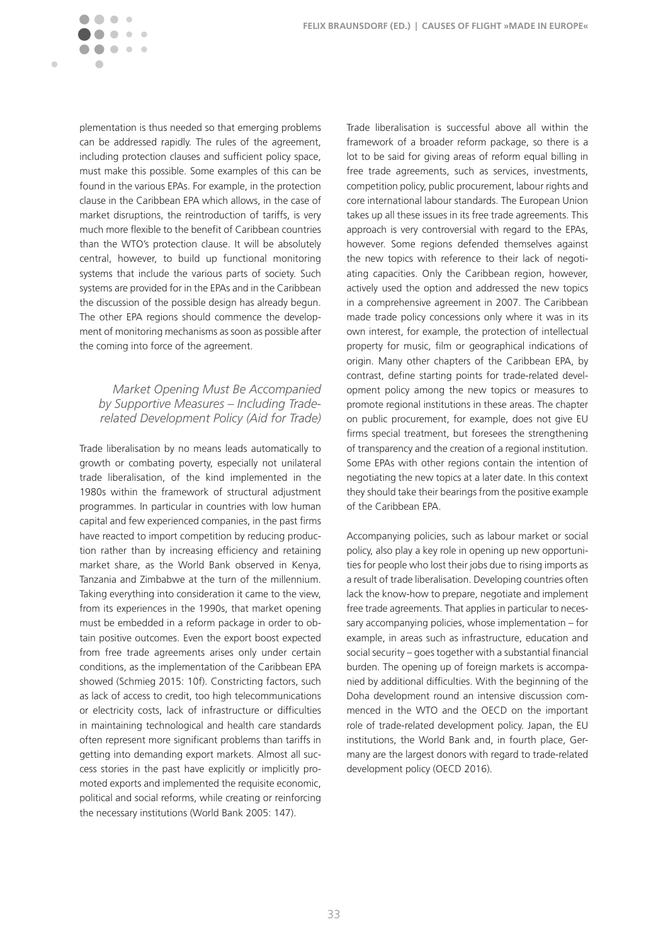plementation is thus needed so that emerging problems can be addressed rapidly. The rules of the agreement, including protection clauses and sufficient policy space, must make this possible. Some examples of this can be found in the various EPAs. For example, in the protection clause in the Caribbean EPA which allows, in the case of market disruptions, the reintroduction of tariffs, is very much more flexible to the benefit of Caribbean countries than the WTO's protection clause. It will be absolutely central, however, to build up functional monitoring systems that include the various parts of society. Such systems are provided for in the EPAs and in the Caribbean the discussion of the possible design has already begun. The other EPA regions should commence the development of monitoring mechanisms as soon as possible after the coming into force of the agreement.

 $\sim$   $\sim$ 

 $\blacksquare$ 

### *Market Opening Must Be Accompanied by Supportive Measures – Including Traderelated Development Policy (Aid for Trade)*

Trade liberalisation by no means leads automatically to growth or combating poverty, especially not unilateral trade liberalisation, of the kind implemented in the 1980s within the framework of structural adjustment programmes. In particular in countries with low human capital and few experienced companies, in the past firms have reacted to import competition by reducing production rather than by increasing efficiency and retaining market share, as the World Bank observed in Kenya, Tanzania and Zimbabwe at the turn of the millennium. Taking everything into consideration it came to the view, from its experiences in the 1990s, that market opening must be embedded in a reform package in order to obtain positive outcomes. Even the export boost expected from free trade agreements arises only under certain conditions, as the implementation of the Caribbean EPA showed (Schmieg 2015: 10f). Constricting factors, such as lack of access to credit, too high telecommunications or electricity costs, lack of infrastructure or difficulties in maintaining technological and health care standards often represent more significant problems than tariffs in getting into demanding export markets. Almost all success stories in the past have explicitly or implicitly promoted exports and implemented the requisite economic, political and social reforms, while creating or reinforcing the necessary institutions (World Bank 2005: 147).

Trade liberalisation is successful above all within the framework of a broader reform package, so there is a lot to be said for giving areas of reform equal billing in free trade agreements, such as services, investments, competition policy, public procurement, labour rights and core international labour standards. The European Union takes up all these issues in its free trade agreements. This approach is very controversial with regard to the EPAs, however. Some regions defended themselves against the new topics with reference to their lack of negotiating capacities. Only the Caribbean region, however, actively used the option and addressed the new topics in a comprehensive agreement in 2007. The Caribbean made trade policy concessions only where it was in its own interest, for example, the protection of intellectual property for music, film or geographical indications of origin. Many other chapters of the Caribbean EPA, by contrast, define starting points for trade-related development policy among the new topics or measures to promote regional institutions in these areas. The chapter on public procurement, for example, does not give EU firms special treatment, but foresees the strengthening of transparency and the creation of a regional institution. Some EPAs with other regions contain the intention of negotiating the new topics at a later date. In this context they should take their bearings from the positive example of the Caribbean EPA.

Accompanying policies, such as labour market or social policy, also play a key role in opening up new opportunities for people who lost their jobs due to rising imports as a result of trade liberalisation. Developing countries often lack the know-how to prepare, negotiate and implement free trade agreements. That applies in particular to necessary accompanying policies, whose implementation – for example, in areas such as infrastructure, education and social security – goes together with a substantial financial burden. The opening up of foreign markets is accompanied by additional difficulties. With the beginning of the Doha development round an intensive discussion commenced in the WTO and the OECD on the important role of trade-related development policy. Japan, the EU institutions, the World Bank and, in fourth place, Germany are the largest donors with regard to trade-related development policy (OECD 2016).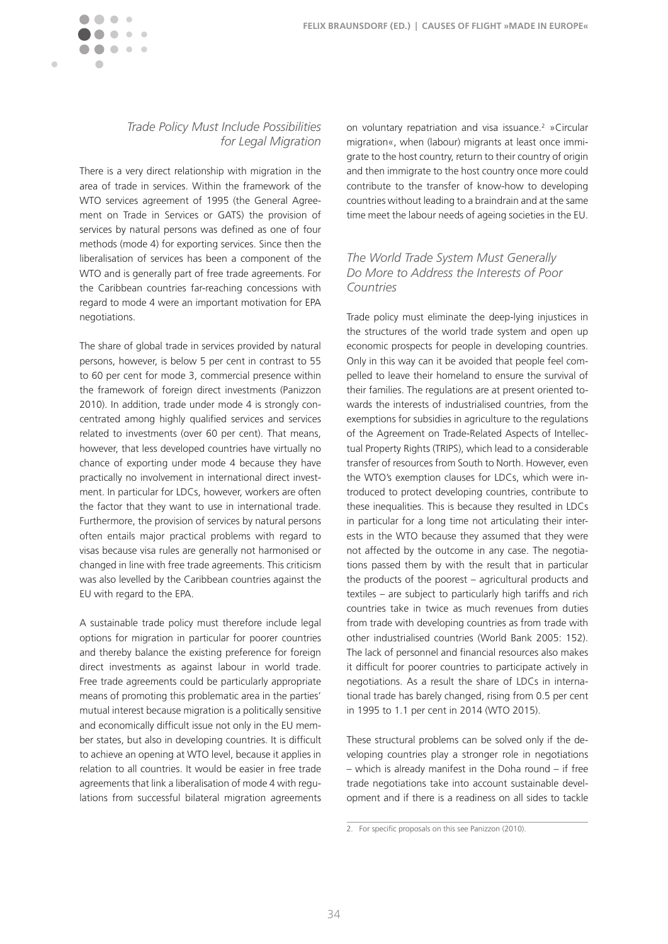

### *Trade Policy Must Include Possibilities for Legal Migration*

There is a very direct relationship with migration in the area of trade in services. Within the framework of the WTO services agreement of 1995 (the General Agreement on Trade in Services or GATS) the provision of services by natural persons was defined as one of four methods (mode 4) for exporting services. Since then the liberalisation of services has been a component of the WTO and is generally part of free trade agreements. For the Caribbean countries far-reaching concessions with regard to mode 4 were an important motivation for EPA negotiations.

The share of global trade in services provided by natural persons, however, is below 5 per cent in contrast to 55 to 60 per cent for mode 3, commercial presence within the framework of foreign direct investments (Panizzon 2010). In addition, trade under mode 4 is strongly concentrated among highly qualified services and services related to investments (over 60 per cent). That means, however, that less developed countries have virtually no chance of exporting under mode 4 because they have practically no involvement in international direct investment. In particular for LDCs, however, workers are often the factor that they want to use in international trade. Furthermore, the provision of services by natural persons often entails major practical problems with regard to visas because visa rules are generally not harmonised or changed in line with free trade agreements. This criticism was also levelled by the Caribbean countries against the EU with regard to the EPA.

A sustainable trade policy must therefore include legal options for migration in particular for poorer countries and thereby balance the existing preference for foreign direct investments as against labour in world trade. Free trade agreements could be particularly appropriate means of promoting this problematic area in the parties' mutual interest because migration is a politically sensitive and economically difficult issue not only in the EU member states, but also in developing countries. It is difficult to achieve an opening at WTO level, because it applies in relation to all countries. It would be easier in free trade agreements that link a liberalisation of mode 4 with regulations from successful bilateral migration agreements on voluntary repatriation and visa issuance.<sup>2</sup> »Circular migration«, when (labour) migrants at least once immigrate to the host country, return to their country of origin and then immigrate to the host country once more could contribute to the transfer of know-how to developing countries without leading to a braindrain and at the same time meet the labour needs of ageing societies in the EU.

## *The World Trade System Must Generally Do More to Address the Interests of Poor Countries*

Trade policy must eliminate the deep-lying injustices in the structures of the world trade system and open up economic prospects for people in developing countries. Only in this way can it be avoided that people feel compelled to leave their homeland to ensure the survival of their families. The regulations are at present oriented towards the interests of industrialised countries, from the exemptions for subsidies in agriculture to the regulations of the Agreement on Trade-Related Aspects of Intellectual Property Rights (TRIPS), which lead to a considerable transfer of resources from South to North. However, even the WTO's exemption clauses for LDCs, which were introduced to protect developing countries, contribute to these inequalities. This is because they resulted in LDCs in particular for a long time not articulating their interests in the WTO because they assumed that they were not affected by the outcome in any case. The negotiations passed them by with the result that in particular the products of the poorest – agricultural products and textiles – are subject to particularly high tariffs and rich countries take in twice as much revenues from duties from trade with developing countries as from trade with other industrialised countries (World Bank 2005: 152). The lack of personnel and financial resources also makes it difficult for poorer countries to participate actively in negotiations. As a result the share of LDCs in international trade has barely changed, rising from 0.5 per cent in 1995 to 1.1 per cent in 2014 (WTO 2015).

These structural problems can be solved only if the developing countries play a stronger role in negotiations – which is already manifest in the Doha round – if free trade negotiations take into account sustainable development and if there is a readiness on all sides to tackle

<sup>2.</sup> For specific proposals on this see Panizzon (2010).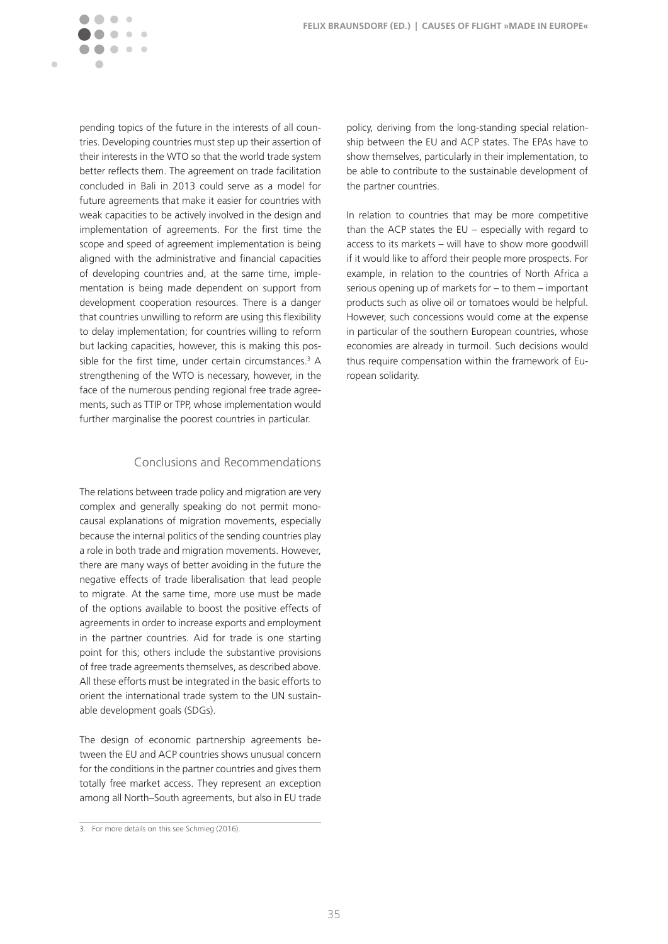$\sim$ 

 $\blacksquare$ 

pending topics of the future in the interests of all countries. Developing countries must step up their assertion of their interests in the WTO so that the world trade system better reflects them. The agreement on trade facilitation concluded in Bali in 2013 could serve as a model for future agreements that make it easier for countries with weak capacities to be actively involved in the design and implementation of agreements. For the first time the scope and speed of agreement implementation is being aligned with the administrative and financial capacities of developing countries and, at the same time, implementation is being made dependent on support from development cooperation resources. There is a danger that countries unwilling to reform are using this flexibility to delay implementation; for countries willing to reform but lacking capacities, however, this is making this possible for the first time, under certain circumstances.<sup>3</sup> A strengthening of the WTO is necessary, however, in the face of the numerous pending regional free trade agreements, such as TTIP or TPP, whose implementation would further marginalise the poorest countries in particular.

#### Conclusions and Recommendations

The relations between trade policy and migration are very complex and generally speaking do not permit monocausal explanations of migration movements, especially because the internal politics of the sending countries play a role in both trade and migration movements. However, there are many ways of better avoiding in the future the negative effects of trade liberalisation that lead people to migrate. At the same time, more use must be made of the options available to boost the positive effects of agreements in order to increase exports and employment in the partner countries. Aid for trade is one starting point for this; others include the substantive provisions of free trade agreements themselves, as described above. All these efforts must be integrated in the basic efforts to orient the international trade system to the UN sustainable development goals (SDGs).

The design of economic partnership agreements between the EU and ACP countries shows unusual concern for the conditions in the partner countries and gives them totally free market access. They represent an exception among all North–South agreements, but also in EU trade

policy, deriving from the long-standing special relationship between the EU and ACP states. The EPAs have to show themselves, particularly in their implementation, to be able to contribute to the sustainable development of the partner countries.

In relation to countries that may be more competitive than the ACP states the EU – especially with regard to access to its markets – will have to show more goodwill if it would like to afford their people more prospects. For example, in relation to the countries of North Africa a serious opening up of markets for – to them – important products such as olive oil or tomatoes would be helpful. However, such concessions would come at the expense in particular of the southern European countries, whose economies are already in turmoil. Such decisions would thus require compensation within the framework of European solidarity.

<sup>3.</sup> For more details on this see Schmieg (2016).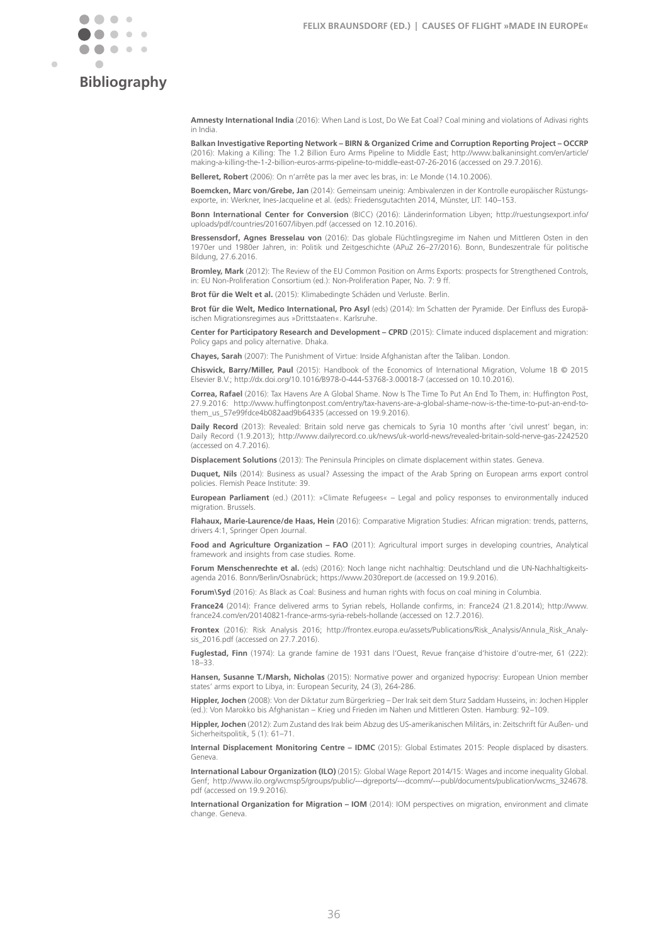

Ċ

# **Bibliography**

**Amnesty International India** (2016): When Land is Lost, Do We Eat Coal? Coal mining and violations of Adivasi rights in India.

**Balkan Investigative Reporting Network – BIRN & Organized Crime and Corruption Reporting Project – OCCRP**  (2016): Making a Killing: The 1.2 Billion Euro Arms Pipeline to Middle East; [http://www.balkaninsight.com/en/article/](http://www.balkaninsight.com/en/article/making) [making](http://www.balkaninsight.com/en/article/making)-a-killing-the-1-2-billion-euros-arms-pipeline-to-middle-east-07-26-2016 (accessed on 29.7.2016).

**Belleret, Robert** (2006): On n'arrête pas la mer avec les bras, in: Le Monde (14.10.2006).

**Boemcken, Marc von/Grebe, Jan** (2014): Gemeinsam uneinig: Ambivalenzen in der Kontrolle europäischer Rüstungsexporte, in: Werkner, Ines-Jacqueline et al. (eds): Friedensgutachten 2014, Münster, LIT: 140–153.

**Bonn International Center for Conversion** (BICC) (2016): Länderinformation Libyen; [http://ruestungsexport.info/](http://ruestungsexport.info/uploads/pdf/countries/201607/libyen.pdf) [uploads/pdf/countries/201607/libyen.pdf](http://ruestungsexport.info/uploads/pdf/countries/201607/libyen.pdf) (accessed on 12.10.2016).

**Bressensdorf, Agnes Bresselau von** (2016): Das globale Flüchtlingsregime im Nahen und Mittleren Osten in den 1970er und 1980er Jahren, in: Politik und Zeitgeschichte (APuZ 26–27/2016). Bonn, Bundeszentrale für politische Bildung, 27.6.2016.

**Bromley, Mark** (2012): The Review of the EU Common Position on Arms Exports: prospects for Strengthened Controls, in: EU Non-Proliferation Consortium (ed.): Non-Proliferation Paper, No. 7: 9 ff.

**Brot für die Welt et al.** (2015): Klimabedingte Schäden und Verluste. Berlin.

**Brot für die Welt, Medico International, Pro Asyl** (eds) (2014): Im Schatten der Pyramide. Der Einfluss des Europäischen Migrationsregimes aus »Drittstaaten«. Karlsruhe.

**Center for Participatory Research and Development – CPRD** (2015): Climate induced displacement and migration: Policy gaps and policy alternative. Dhaka.

**Chayes, Sarah** (2007): The Punishment of Virtue: Inside Afghanistan after the Taliban. London.

**Chiswick, Barry/Miller, Paul** (2015): Handbook of the Economics of International Migration, Volume 1B © 2015 Elsevier B.V.; [http://dx.doi.org/10.1016/B978-0-444-53768-3.00018-](http://dx.doi.org/10.1016/B978-0-444-53768-3.00018-7)7 (accessed on 10.10.2016).

**Correa, Rafael** (2016): Tax Havens Are A Global Shame. Now Is The Time To Put An End To Them, in: Huffington Post, 27.9.2016: [http://www.huffingtonpost.com/entry/tax-](http://www.huffingtonpost.com/entry/tax-havens-are-a-global-shame-now-is-the-time-to-put-an-end-to-them_us_57e99fdce4b082aad9b64335)havens-are-a-global-shame-now-is-the-time-to-put-an-end-tothem\_us\_57e99fdce4b082aad9b64335 (accessed on 19.9.2016).

**Daily Record** (2013): Revealed: Britain sold nerve gas chemicals to Syria 10 months after 'civil unrest' began, in: Daily Record (1.9.2013); [http://www.dailyrecord.co.uk/news/uk-world-news/revealed](http://www.dailyrecord.co.uk/news/uk-world-news/revealed-britain-sold-nerve-gas-2242520)-britain-sold-nerve-gas-2242520 (accessed on 4.7.2016).

**Displacement Solutions** (2013): The Peninsula Principles on climate displacement within states. Geneva.

**Duquet, Nils** (2014): Business as usual? Assessing the impact of the Arab Spring on European arms export control policies. Flemish Peace Institute: 39.

**European Parliament** (ed.) (2011): »Climate Refugees« – Legal and policy responses to environmentally induced migration. Brussels.

**Flahaux, Marie-Laurence/de Haas, Hein** (2016): Comparative Migration Studies: African migration: trends, patterns, drivers 4:1, Springer Open Journal.

**Food and Agriculture Organization – FAO** (2011): Agricultural import surges in developing countries, Analytical framework and insights from case studies. Rome.

Forum Menschenrechte et al. (eds) (2016): Noch lange nicht nachhaltig: Deutschland und die UN-Nachhaltigkeitsagenda 2016. Bonn/Berlin/Osnabrück; <https://www.2030report.de> (accessed on 19.9.2016).

**Forum\Syd** (2016): As Black as Coal: Business and human rights with focus on coal mining in Columbia.

**France24** (2014): France delivered arms to Syrian rebels, Hollande confirms, in: France24 (21.8.2014); [http://www.](http://www.france24.com/en/20140821-france-arms-syria-rebels-hollande) [france24.com/en/20140821-](http://www.france24.com/en/20140821-france-arms-syria-rebels-hollande)france-arms-syria-rebels-hollande (accessed on 12.7.2016).

**Frontex** (2016): Risk Analysis 2016; [http://frontex.europa.eu/assets/Publications/Risk\\_Analysis/Annula\\_Risk\\_Analy](http://frontex.europa.eu/assets/Publications/Risk_Analysis/Annula_Risk_Analysis_2016.pdf)[sis\\_2016.pdf](http://frontex.europa.eu/assets/Publications/Risk_Analysis/Annula_Risk_Analysis_2016.pdf) (accessed on 27.7.2016).

**Fuglestad, Finn** (1974): La grande famine de 1931 dans l'Ouest, Revue française d'histoire d'outre-mer, 61 (222): 18–33.

**Hansen, Susanne T./Marsh, Nicholas** (2015): Normative power and organized hypocrisy: European Union member states' arms export to Libya, in: European Security, 24 (3), 264-286.

**Hippler, Jochen** (2008): Von der Diktatur zum Bürgerkrieg – Der Irak seit dem Sturz Saddam Husseins, in: Jochen Hippler (ed.): Von Marokko bis Afghanistan – Krieg und Frieden im Nahen und Mittleren Osten. Hamburg: 92–109.

**Hippler, Jochen** (2012): Zum Zustand des Irak beim Abzug des US-amerikanischen Militärs, in: Zeitschrift für Außen- und Sicherheitspolitik, 5 (1): 61–71.

**Internal Displacement Monitoring Centre – IDMC** (2015): Global Estimates 2015: People displaced by disasters. Geneva.

**International Labour Organization (ILO)** (2015): Global Wage Report 2014/15: Wages and income inequality Global. Genf; [http://www.ilo.org/wcmsp5/groups/public/---dgreports/---dcomm/---publ/documents/publication/wcms\\_324678.](http://www.ilo.org/wcmsp5/groups/public/---dgreports/---dcomm/---publ/documents/publication/wcms_324678.pdf) [pdf](http://www.ilo.org/wcmsp5/groups/public/---dgreports/---dcomm/---publ/documents/publication/wcms_324678.pdf) (accessed on 19.9.2016).

**International Organization for Migration – IOM** (2014): IOM perspectives on migration, environment and climate change. Geneva.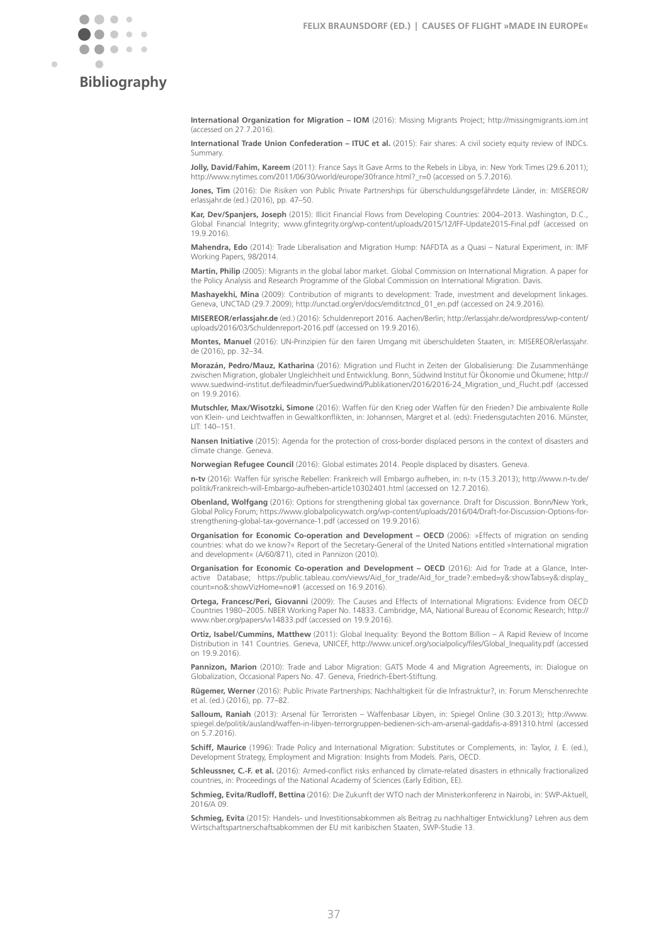

Ċ

# **Bibliography**

**International Organization for Migration – IOM** (2016): Missing Migrants Project; <http://missingmigrants.iom.int> (accessed on 27.7.2016).

**International Trade Union Confederation – ITUC et al.** (2015): Fair shares: A civil society equity review of INDCs. Summary.

**Jolly, David/Fahim, Kareem** (2011): France Says It Gave Arms to the Rebels in Libya, in: New York Times (29.6.2011); [http://www.nytimes.com/2011/06/30/world/europe/30france.html?\\_r=0](http://www.nytimes.com/2011/06/30/world/europe/30france.html?_r=0) (accessed on 5.7.2016).

**Jones, Tim** (2016): Die Risiken von Public Private Partnerships für überschuldungsgefährdete Länder, in: MISEREOR/ [erlassjahr.de](http://erlassjahr.de) (ed.) (2016), pp. 47–50.

**Kar, Dev/Spanjers, Joseph** (2015): Illicit Financial Flows from Developing Countries: 2004–2013. Washington, D.C., Global Financial Integrity; [www.gfintegrity.org/wp-content/uploads/2015/12/IFF-Update2015-Final.pdf](http://www.gfintegrity.org/wp-content/uploads/2015/12/IFF-Update2015-Final.pdf) (accessed on 19.9.2016).

**Mahendra, Edo** (2014): Trade Liberalisation and Migration Hump: NAFDTA as a Quasi – Natural Experiment, in: IMF Working Papers, 98/2014.

**Martin, Philip** (2005): Migrants in the global labor market. Global Commission on International Migration. A paper for the Policy Analysis and Research Programme of the Global Commission on International Migration. Davis.

**Mashayekhi, Mina** (2009): Contribution of migrants to development: Trade, investment and development linkages. Geneva, UNCTAD (29.7.2009); [http://unctad.org/en/docs/emditctncd\\_01\\_en.pdf](http://unctad.org/en/docs/emditctncd_01_en.pdf) (accessed on 24.9.2016).

**MISEREOR[/erlassjahr.de](http://erlassjahr.de)** (ed.) (2016): Schuldenreport 2016. Aachen/Berlin; [http://erlassjahr.de/wordpress/wp-content/](http://erlassjahr.de/wordpress/wp-content/uploads/2016/03/Schuldenreport-2016.pdf) [uploads/2016/03/Schuldenreport-2016.pdf](http://erlassjahr.de/wordpress/wp-content/uploads/2016/03/Schuldenreport-2016.pdf) (accessed on 19.9.2016).

**Montes, Manuel** (2016): UN-Prinzipien für den fairen Umgang mit überschuldeten Staaten, in: MISEREOR[/erlassjahr.](http://erlassjahr.de) [de](http://erlassjahr.de) (2016), pp. 32–34.

**Morazán, Pedro/Mauz, Katharina** (2016): Migration und Flucht in Zeiten der Globalisierung: Die Zusammenhänge zwischen Migration, globaler Ungleichheit und Entwicklung. Bonn, Südwind Institut für Ökonomie und Ökumene; [http://](http://www.suedwind-institut.de/fileadmin/fuerSuedwind/Publikationen/2016/2016-24_Migration_und_Flucht.pdf) [www.suedwind-institut.de/fileadmin/fuerSuedwind/Publikationen/2016/2016-24\\_Migration\\_und\\_Flucht.pdf](http://www.suedwind-institut.de/fileadmin/fuerSuedwind/Publikationen/2016/2016-24_Migration_und_Flucht.pdf) (accessed on 19.9.2016).

**Mutschler, Max/Wisotzki, Simone** (2016): Waffen für den Krieg oder Waffen für den Frieden? Die ambivalente Rolle von Klein- und Leichtwaffen in Gewaltkonflikten, in: Johannsen, Margret et al. (eds): Friedensgutachten 2016. Münster, LIT: 140–151.

**Nansen Initiative** (2015): Agenda for the protection of cross-border displaced persons in the context of disasters and climate change. Geneva.

**Norwegian Refugee Council** (2016): Global estimates 2014. People displaced by disasters. Geneva.

**n-tv** (2016): Waffen für syrische Rebellen: Frankreich will Embargo aufheben, in: n-tv (15.3.2013); [http://www.n-tv.de/](http://www.n-tv.de/politik/Frankreich-will-Embargo-aufheben-article10302401.html) [politik/Frankreich-will-Embargo-aufheben-article10302401.html](http://www.n-tv.de/politik/Frankreich-will-Embargo-aufheben-article10302401.html) (accessed on 12.7.2016).

**Obenland, Wolfgang** (2016): Options for strengthening global tax governance. Draft for Discussion. Bonn/New York, Global Policy Forum; [https://www.globalpolicywatch.org/wp-content/uploads/2016/04/Draft-for-Discussion-Options-for](https://www.globalpolicywatch.org/wp-content/uploads/2016/04/Draft-for-Discussion-Options-for-strengthening-global-tax-governance-1.pdf)[strengthening-global-tax-governance-1.pdf](https://www.globalpolicywatch.org/wp-content/uploads/2016/04/Draft-for-Discussion-Options-for-strengthening-global-tax-governance-1.pdf) (accessed on 19.9.2016).

**Organisation for Economic Co-operation and Development – OECD** (2006): »Effects of migration on sending countries: what do we know?« Report of the Secretary-General of the United Nations entitled »International migration and development« (A/60/871), cited in Pannizon (2010).

**Organisation for Economic Co-operation and Development – OECD** (2016): Aid for Trade at a Glance, Interactive Database; [https://public.tableau.com/views/Aid\\_for\\_trade/Aid\\_for\\_trade?:embed=y&:showTabs=y&:display\\_](https://public.tableau.com/views/Aid_for_trade/Aid_for_trade?:embed=y&:showTabs=y&:display_count=no&:showVizHome=no#1) [count=no&:showVizHome=no#1](https://public.tableau.com/views/Aid_for_trade/Aid_for_trade?:embed=y&:showTabs=y&:display_count=no&:showVizHome=no#1) (accessed on 16.9.2016).

**Ortega, Francesc/Peri, Giovanni** (2009): The Causes and Effects of International Migrations: Evidence from OECD Countries 1980–2005. NBER Working Paper No. 14833. Cambridge, MA, National Bureau of Economic Research; [http://](http://www.nber.org/papers/w14833.pdf) [www.nber.org/papers/w14833.pdf](http://www.nber.org/papers/w14833.pdf) (accessed on 19.9.2016).

**Ortiz, Isabel/Cummins, Matthew** (2011): Global Inequality: Beyond the Bottom Billion – A Rapid Review of Income Distribution in 141 Countries. Geneva, UNICEF, [http://www.unicef.org/socialpolicy/files/Global\\_Inequality.pdf](http://www.unicef.org/socialpolicy/files/Global_Inequality.pdf) (accessed on 19.9.2016).

Pannizon, Marion (2010): Trade and Labor Migration: GATS Mode 4 and Migration Agreements, in: Dialogue on Globalization, Occasional Papers No. 47. Geneva, Friedrich-Ebert-Stiftung.

**Rügemer, Werner** (2016): Public Private Partnerships: Nachhaltigkeit für die Infrastruktur?, in: Forum Menschenrechte et al. (ed.) (2016), pp. 77–82.

**Salloum, Raniah** (2013): Arsenal für Terroristen – Waffenbasar Libyen, in: Spiegel Online (30.3.2013); [http://www.](http://www.spiegel.de/politik/ausland/waffen-in-libyen-terrorgruppen-bedienen-sich-am-arsenal-gaddafis-a-891310.html) [spiegel.de/politik/ausland/waffen-in-libyen-terrorgruppen-bedienen-sich-am-arsenal-gaddafis-a-891310.html](http://www.spiegel.de/politik/ausland/waffen-in-libyen-terrorgruppen-bedienen-sich-am-arsenal-gaddafis-a-891310.html) (accessed on 5.7.2016).

**Schiff, Maurice** (1996): Trade Policy and International Migration: Substitutes or Complements, in: Taylor, J. E. (ed.), Development Strategy, Employment and Migration: Insights from Models. Paris, OECD.

**Schleussner, C.-F. et al.** (2016): Armed-conflict risks enhanced by climate-related disasters in ethnically fractionalized countries, in: Proceedings of the National Academy of Sciences (Early Edition, EE).

**Schmieg, Evita/Rudloff, Bettina** (2016): Die Zukunft der WTO nach der Ministerkonferenz in Nairobi, in: SWP-Aktuell, 2016/A 09.

**Schmieg, Evita** (2015): Handels- und Investitionsabkommen als Beitrag zu nachhaltiger Entwicklung? Lehren aus dem Wirtschaftspartnerschaftsabkommen der EU mit karibischen Staaten, SWP-Studie 13.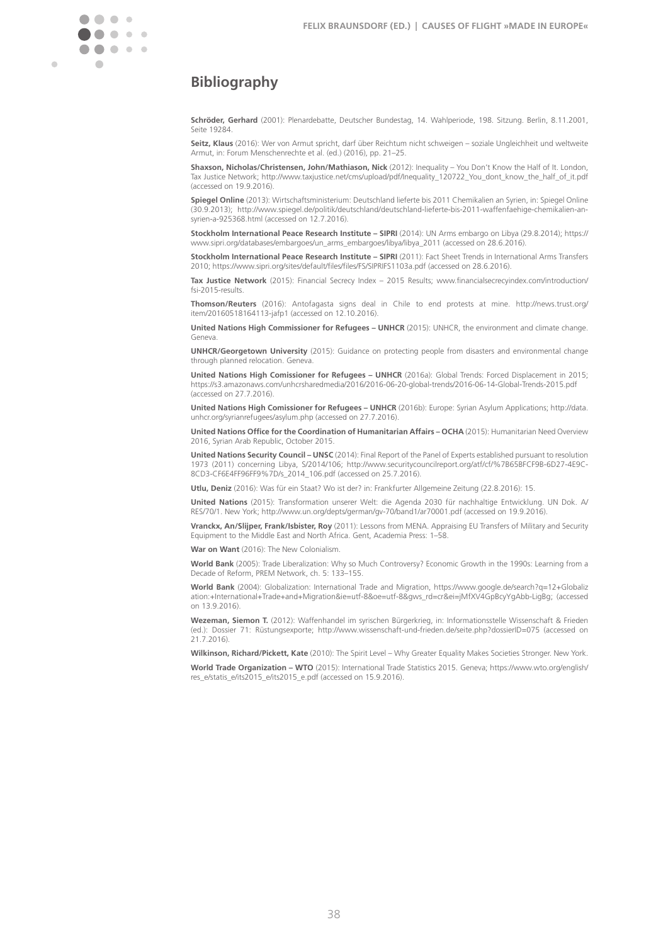

# **Bibliography**

**Schröder, Gerhard** (2001): Plenardebatte, Deutscher Bundestag, 14. Wahlperiode, 198. Sitzung. Berlin, 8.11.2001, Seite 19284.

**Seitz, Klaus** (2016): Wer von Armut spricht, darf über Reichtum nicht schweigen – soziale Ungleichheit und weltweite Armut, in: Forum Menschenrechte et al. (ed.) (2016), pp. 21–25.

**Shaxson, Nicholas/Christensen, John/Mathiason, Nick** (2012): Inequality – You Don't Know the Half of It. London, Tax Justice Network; [http://www.taxjustice.net/cms/upload/pdf/Inequality\\_120722\\_You\\_dont\\_know\\_the\\_half\\_of\\_it.pdf](http://www.taxjustice.net/cms/upload/pdf/Inequality_120722_You_dont_know_the_half_of_it.pdf) (accessed on 19.9.2016).

**Spiegel Online** (2013): Wirtschaftsministerium: Deutschland lieferte bis 2011 Chemikalien an Syrien, in: Spiegel Online (30.9.2013); [http://www.spiegel.de/politik/deutschland/deutschland-lieferte-bis-2011-waffenfaehige-chemikalien-an](http://www.spiegel.de/politik/deutschland/deutschland-lieferte-bis-2011-waffenfaehige-chemikalien-an-syrien-a-925368.html)[syrien-a-925368.html](http://www.spiegel.de/politik/deutschland/deutschland-lieferte-bis-2011-waffenfaehige-chemikalien-an-syrien-a-925368.html) (accessed on 12.7.2016).

**Stockholm International Peace Research Institute – SIPRI** (2014): UN Arms embargo on Libya (29.8.2014); [https://](https://www.sipri.org/databases/embargoes/un_arms_embargoes/libya/libya_2011) [www.sipri.org/databases/embargoes/un\\_arms\\_embargoes/libya/libya\\_2011](https://www.sipri.org/databases/embargoes/un_arms_embargoes/libya/libya_2011) (accessed on 28.6.2016).

**Stockholm International Peace Research Institute – SIPRI** (2011): Fact Sheet Trends in International Arms Transfers 2010; <https://www.sipri.org/sites/default/files/files/FS/SIPRIFS1103a.pdf> (accessed on 28.6.2016).

**Tax Justice Network** (2015): Financial Secrecy Index – 2015 Results; [www.financialsecrecyindex.com/introduction/](http://www.financialsecrecyindex.com/introduction/fsi-2015-results) [fsi-](http://www.financialsecrecyindex.com/introduction/fsi-2015-results)2015-results.

**Thomson/Reuters** (2016): Antofagasta signs deal in Chile to end protests at mine. [http://news.trust.org/](http://news.trust.org/item/20160518164113-jafp1) [item/20160518164113-](http://news.trust.org/item/20160518164113-jafp1)jafp1 (accessed on 12.10.2016).

**United Nations High Commissioner for Refugees – UNHCR** (2015): UNHCR, the environment and climate change. Geneva.

**UNHCR/Georgetown University** (2015): Guidance on protecting people from disasters and environmental change through planned relocation. Geneva.

**United Nations High Comissioner for Refugees – UNHCR** (2016a): Global Trends: Forced Displacement in 2015; <https://s3.amazonaws.com/unhcrsharedmedia/2016/2016-06-20-global-trends/2016-06-14-Global-Trends-2015.pdf> (accessed on 27.7.2016).

**United Nations High Comissioner for Refugees – UNHCR** (2016b): Europe: Syrian Asylum Applications; [http://data.](http://data.unhcr.org/syrianrefugees/asylum.php) [unhcr.org/syrianrefugees/asylum.php](http://data.unhcr.org/syrianrefugees/asylum.php) (accessed on 27.7.2016).

**United Nations Office for the Coordination of Humanitarian Affairs – OCHA** (2015): Humanitarian Need Overview 2016, Syrian Arab Republic, October 2015.

**United Nations Security Council – UNSC** (2014): Final Report of the Panel of Experts established pursuant to resolution 1973 (2011) concerning Libya, S/2014/106; [http://www.securitycouncilreport.org/atf/cf/](http://www.securitycouncilreport.org/atf/cf/%7B65BFCF9B-6D27-4E9C-8CD3-CF6E4FF96FF9%7D/s_2014_106.pdf)%7B65BFCF9B-6D27-4E9C-8CD3-CF6E4FF96FF9%7D[/s\\_2014\\_106.pdf](http://www.securitycouncilreport.org/atf/cf/%7B65BFCF9B-6D27-4E9C-8CD3-CF6E4FF96FF9%7D/s_2014_106.pdf) (accessed on 25.7.2016).

**Utlu, Deniz** (2016): Was für ein Staat? Wo ist der? in: Frankfurter Allgemeine Zeitung (22.8.2016): 15.

**United Nations** (2015): Transformation unserer Welt: die Agenda 2030 für nachhaltige Entwicklung. UN Dok. A/ RES/70/1. New York; <http://www.un.org/depts/german/gv-70/band1/ar70001.pdf> (accessed on 19.9.2016).

**Vranckx, An/Slijper, Frank/Isbister, Roy** (2011): Lessons from MENA. Appraising EU Transfers of Military and Security Equipment to the Middle East and North Africa. Gent, Academia Press: 1–58.

**War on Want** (2016): The New Colonialism.

**World Bank** (2005): Trade Liberalization: Why so Much Controversy? Economic Growth in the 1990s: Learning from a Decade of Reform, PREM Network, ch. 5: 133–155.

**World Bank** (2004): Globalization: International Trade and Migration, [https://www.google.de/search?q=12+Globaliz](https://www.google.de/search?q=12+Globalization:+International+Trade+and+Migration&ie=utf-8&oe=utf-8&gws_rd=cr&ei=jMfXV4GpBcyYgAbb-LigBg) [ation:+International+Trade+and+Migration&ie=utf-8&oe=utf-8&gws\\_rd=cr&ei=jMfXV4GpBcyYgAbb-LigBg;](https://www.google.de/search?q=12+Globalization:+International+Trade+and+Migration&ie=utf-8&oe=utf-8&gws_rd=cr&ei=jMfXV4GpBcyYgAbb-LigBg) (accessed on 13.9.2016).

**Wezeman, Siemon T.** (2012): Waffenhandel im syrischen Bürgerkrieg, in: Informationsstelle Wissenschaft & Frieden (ed.): Dossier 71: Rüstungsexporte; <http://www.wissenschaft-und-frieden.de/seite.php?dossierID=075> (accessed on 21.7.2016).

**Wilkinson, Richard/Pickett, Kate** (2010): The Spirit Level – Why Greater Equality Makes Societies Stronger. New York. **World Trade Organization – WTO** (2015): International Trade Statistics 2015. Geneva; [https://www.wto.org/english/](https://www.wto.org/english/res_e/statis_e/its2015_e/its2015_e.pdf) [res\\_e/statis\\_e/its2015\\_e/its2015\\_e.pdf](https://www.wto.org/english/res_e/statis_e/its2015_e/its2015_e.pdf) (accessed on 15.9.2016).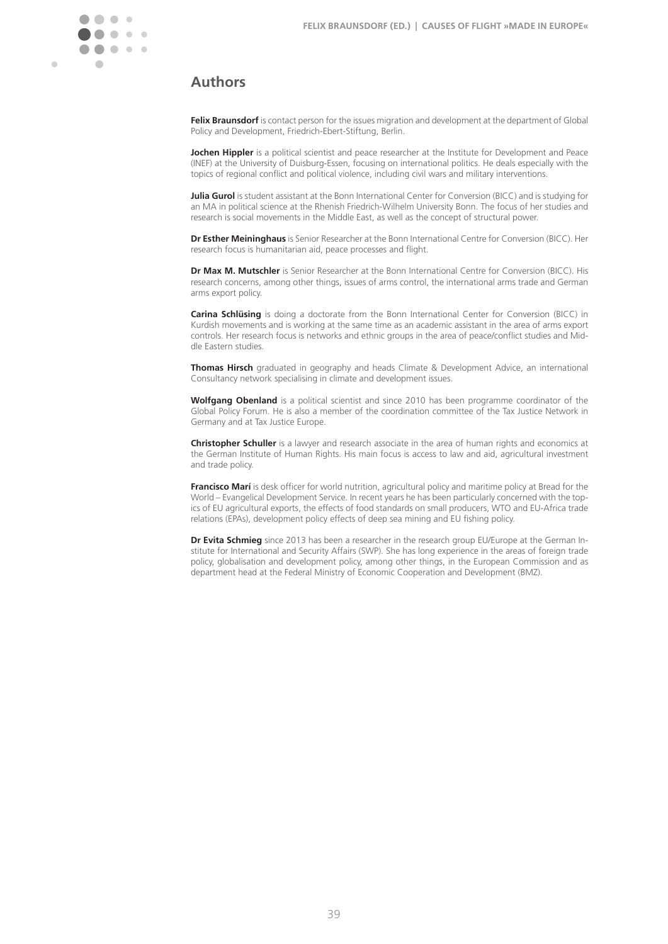Ċ

# **Bibliography Authors**

**Felix Braunsdorf** is contact person for the issues migration and development at the department of Global Policy and Development, Friedrich-Ebert-Stiftung, Berlin.

**Jochen Hippler** is a political scientist and peace researcher at the Institute for Development and Peace (INEF) at the University of Duisburg-Essen, focusing on international politics. He deals especially with the topics of regional conflict and political violence, including civil wars and military interventions.

**Julia Gurol** is student assistant at the Bonn International Center for Conversion (BICC) and is studying for an MA in political science at the Rhenish Friedrich-Wilhelm University Bonn. The focus of her studies and research is social movements in the Middle East, as well as the concept of structural power.

**Dr Esther Meininghaus** is Senior Researcher at the Bonn International Centre for Conversion (BICC). Her research focus is humanitarian aid, peace processes and flight.

**Dr Max M. Mutschler** is Senior Researcher at the Bonn International Centre for Conversion (BICC). His research concerns, among other things, issues of arms control, the international arms trade and German arms export policy.

**Carina Schlüsing** is doing a doctorate from the Bonn International Center for Conversion (BICC) in Kurdish movements and is working at the same time as an academic assistant in the area of arms export controls. Her research focus is networks and ethnic groups in the area of peace/conflict studies and Middle Eastern studies.

**Thomas Hirsch** graduated in geography and heads Climate & Development Advice, an international Consultancy network specialising in climate and development issues.

**Wolfgang Obenland** is a political scientist and since 2010 has been programme coordinator of the Global Policy Forum. He is also a member of the coordination committee of the Tax Justice Network in Germany and at Tax Justice Europe.

**Christopher Schuller** is a lawyer and research associate in the area of human rights and economics at the German Institute of Human Rights. His main focus is access to law and aid, agricultural investment and trade policy.

**Francisco Marí** is desk officer for world nutrition, agricultural policy and maritime policy at Bread for the World – Evangelical Development Service. In recent years he has been particularly concerned with the topics of EU agricultural exports, the effects of food standards on small producers, WTO and EU-Africa trade relations (EPAs), development policy effects of deep sea mining and EU fishing policy.

**Dr Evita Schmieg** since 2013 has been a researcher in the research group EU/Europe at the German Institute for International and Security Affairs (SWP). She has long experience in the areas of foreign trade policy, globalisation and development policy, among other things, in the European Commission and as department head at the Federal Ministry of Economic Cooperation and Development (BMZ).